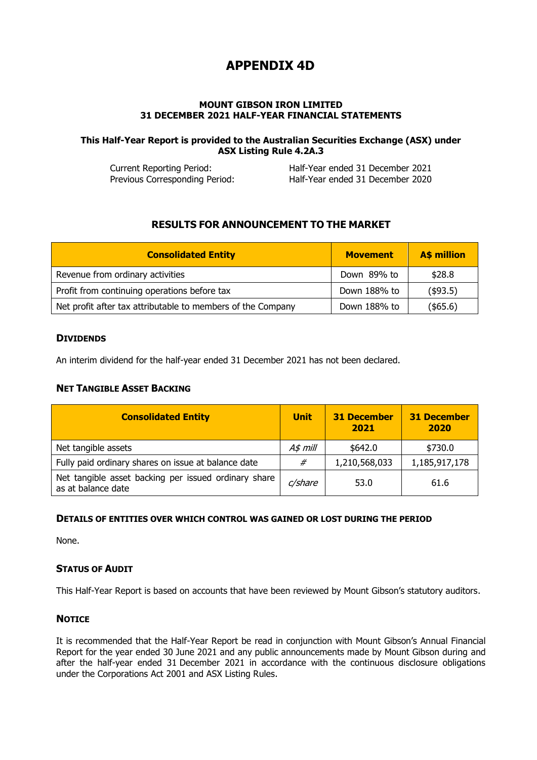# **APPENDIX 4D**

### **MOUNT GIBSON IRON LIMITED 31 DECEMBER 2021 HALF-YEAR FINANCIAL STATEMENTS**

### **This Half-Year Report is provided to the Australian Securities Exchange (ASX) under ASX Listing Rule 4.2A.3**

Current Reporting Period: Half-Year ended 31 December 2021 Previous Corresponding Period: Half-Year ended 31 December 2020

# **RESULTS FOR ANNOUNCEMENT TO THE MARKET**

| <b>Consolidated Entity</b>                                  | <b>Movement</b> | <b>A\$ million</b> |
|-------------------------------------------------------------|-----------------|--------------------|
| Revenue from ordinary activities                            | Down 89% to     | \$28.8             |
| Profit from continuing operations before tax                | Down 188% to    | (\$93.5)           |
| Net profit after tax attributable to members of the Company | Down 188% to    | $($ \$65.6)        |

### **DIVIDENDS**

An interim dividend for the half-year ended 31 December 2021 has not been declared.

## **NET TANGIBLE ASSET BACKING**

| <b>Consolidated Entity</b>                                                 | <b>Unit</b> | <b>31 December</b><br>2021 | <b>31 December</b><br>2020 |
|----------------------------------------------------------------------------|-------------|----------------------------|----------------------------|
| Net tangible assets                                                        | $A\$ p mill | \$642.0                    | \$730.0                    |
| Fully paid ordinary shares on issue at balance date                        | #           | 1,210,568,033              | 1,185,917,178              |
| Net tangible asset backing per issued ordinary share<br>as at balance date | c/share     | 53.0                       | 61.6                       |

### **DETAILS OF ENTITIES OVER WHICH CONTROL WAS GAINED OR LOST DURING THE PERIOD**

None.

# **STATUS OF AUDIT**

This Half-Year Report is based on accounts that have been reviewed by Mount Gibson's statutory auditors.

### **NOTICE**

It is recommended that the Half-Year Report be read in conjunction with Mount Gibson's Annual Financial Report for the year ended 30 June 2021 and any public announcements made by Mount Gibson during and after the half-year ended 31 December 2021 in accordance with the continuous disclosure obligations under the Corporations Act 2001 and ASX Listing Rules.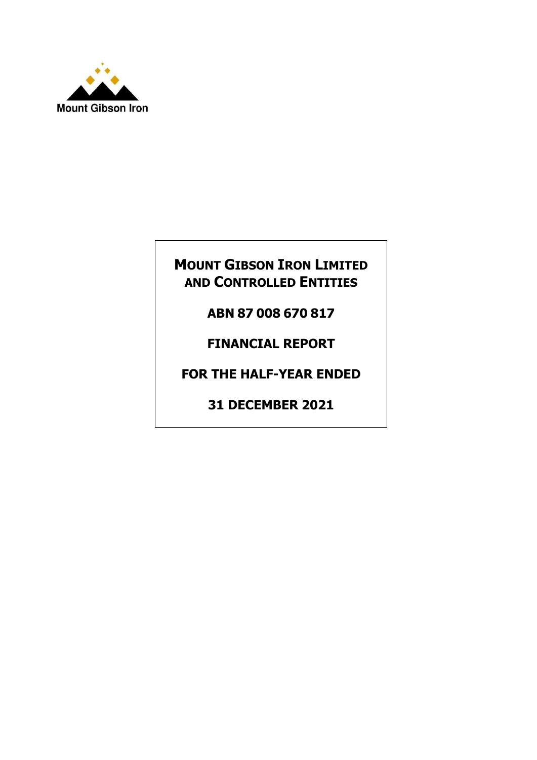

# **MOUNT GIBSON IRON LIMITED AND CONTROLLED ENTITIES**

**ABN 87 008 670 817**

**FINANCIAL REPORT**

**FOR THE HALF-YEAR ENDED**

**31 DECEMBER 2021**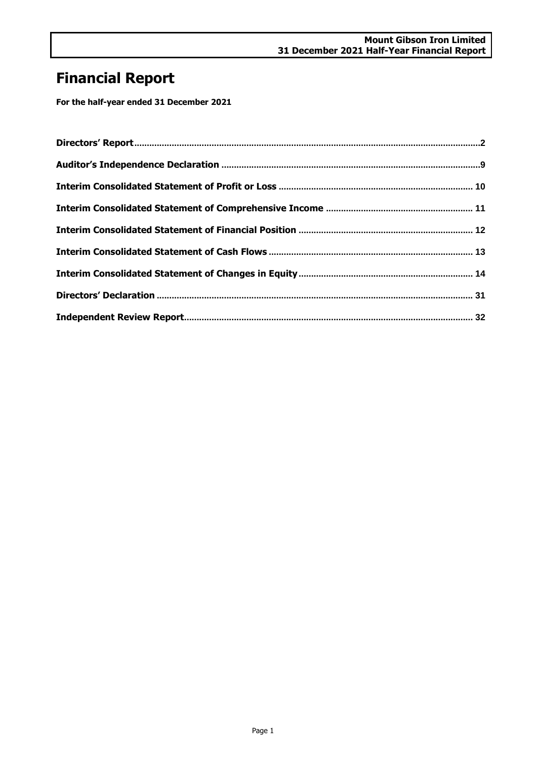# **Financial Report**

**For the half-year ended 31 December 2021**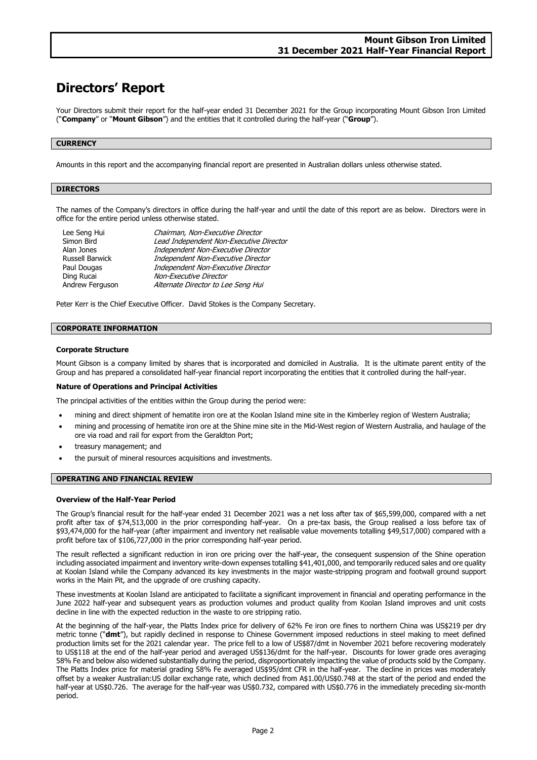# <span id="page-3-0"></span>**Directors' Report**

Your Directors submit their report for the half-year ended 31 December 2021 for the Group incorporating Mount Gibson Iron Limited ("**Company**" or "**Mount Gibson**") and the entities that it controlled during the half-year ("**Group**").

### **CURRENCY**

Amounts in this report and the accompanying financial report are presented in Australian dollars unless otherwise stated.

#### **DIRECTORS**

The names of the Company's directors in office during the half-year and until the date of this report are as below. Directors were in office for the entire period unless otherwise stated.

| Chairman, Non-Executive Director        |
|-----------------------------------------|
| Lead Independent Non-Executive Director |
| Independent Non-Executive Director      |
| Independent Non-Executive Director      |
| Independent Non-Executive Director      |
| Non-Executive Director                  |
| Alternate Director to Lee Seng Hui      |
|                                         |

Peter Kerr is the Chief Executive Officer. David Stokes is the Company Secretary.

#### **CORPORATE INFORMATION**

#### **Corporate Structure**

Mount Gibson is a company limited by shares that is incorporated and domiciled in Australia. It is the ultimate parent entity of the Group and has prepared a consolidated half-year financial report incorporating the entities that it controlled during the half-year.

#### **Nature of Operations and Principal Activities**

The principal activities of the entities within the Group during the period were:

- mining and direct shipment of hematite iron ore at the Koolan Island mine site in the Kimberley region of Western Australia;
- mining and processing of hematite iron ore at the Shine mine site in the Mid-West region of Western Australia, and haulage of the ore via road and rail for export from the Geraldton Port;
- treasury management; and
- the pursuit of mineral resources acquisitions and investments.

#### **OPERATING AND FINANCIAL REVIEW**

#### **Overview of the Half-Year Period**

The Group's financial result for the half-year ended 31 December 2021 was a net loss after tax of \$65,599,000, compared with a net profit after tax of \$74,513,000 in the prior corresponding half-year. On a pre-tax basis, the Group realised a loss before tax of \$93,474,000 for the half-year (after impairment and inventory net realisable value movements totalling \$49,517,000) compared with a profit before tax of \$106,727,000 in the prior corresponding half-year period.

The result reflected a significant reduction in iron ore pricing over the half-year, the consequent suspension of the Shine operation including associated impairment and inventory write-down expenses totalling \$41,401,000, and temporarily reduced sales and ore quality at Koolan Island while the Company advanced its key investments in the major waste-stripping program and footwall ground support works in the Main Pit, and the upgrade of ore crushing capacity.

These investments at Koolan Island are anticipated to facilitate a significant improvement in financial and operating performance in the June 2022 half-year and subsequent years as production volumes and product quality from Koolan Island improves and unit costs decline in line with the expected reduction in the waste to ore stripping ratio.

At the beginning of the half-year, the Platts Index price for delivery of 62% Fe iron ore fines to northern China was US\$219 per dry metric tonne ("**dmt**"), but rapidly declined in response to Chinese Government imposed reductions in steel making to meet defined production limits set for the 2021 calendar year. The price fell to a low of US\$87/dmt in November 2021 before recovering moderately to US\$118 at the end of the half-year period and averaged US\$136/dmt for the half-year. Discounts for lower grade ores averaging 58% Fe and below also widened substantially during the period, disproportionately impacting the value of products sold by the Company. The Platts Index price for material grading 58% Fe averaged US\$95/dmt CFR in the half-year. The decline in prices was moderately offset by a weaker Australian:US dollar exchange rate, which declined from A\$1.00/US\$0.748 at the start of the period and ended the half-year at US\$0.726. The average for the half-year was US\$0.732, compared with US\$0.776 in the immediately preceding six-month period.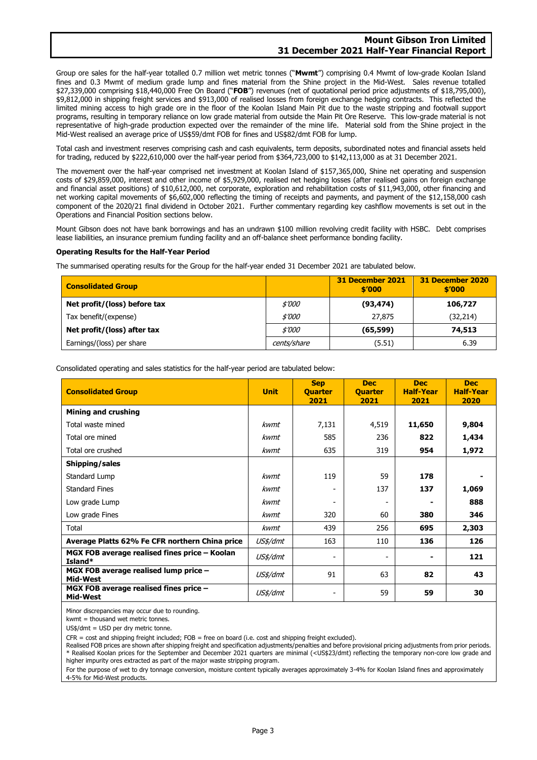### **Mount Gibson Iron Limited 31 December 2021 Half-Year Financial Report**

Group ore sales for the half-year totalled 0.7 million wet metric tonnes ("**Mwmt**") comprising 0.4 Mwmt of low-grade Koolan Island fines and 0.3 Mwmt of medium grade lump and fines material from the Shine project in the Mid-West. Sales revenue totalled \$27,339,000 comprising \$18,440,000 Free On Board ("**FOB**") revenues (net of quotational period price adjustments of \$18,795,000), \$9,812,000 in shipping freight services and \$913,000 of realised losses from foreign exchange hedging contracts. This reflected the limited mining access to high grade ore in the floor of the Koolan Island Main Pit due to the waste stripping and footwall support programs, resulting in temporary reliance on low grade material from outside the Main Pit Ore Reserve. This low-grade material is not representative of high-grade production expected over the remainder of the mine life. Material sold from the Shine project in the Mid-West realised an average price of US\$59/dmt FOB for fines and US\$82/dmt FOB for lump.

Total cash and investment reserves comprising cash and cash equivalents, term deposits, subordinated notes and financial assets held for trading, reduced by \$222,610,000 over the half-year period from \$364,723,000 to \$142,113,000 as at 31 December 2021.

The movement over the half-year comprised net investment at Koolan Island of \$157,365,000, Shine net operating and suspension costs of \$29,859,000, interest and other income of \$5,929,000, realised net hedging losses (after realised gains on foreign exchange and financial asset positions) of \$10,612,000, net corporate, exploration and rehabilitation costs of \$11,943,000, other financing and net working capital movements of \$6,602,000 reflecting the timing of receipts and payments, and payment of the \$12,158,000 cash component of the 2020/21 final dividend in October 2021. Further commentary regarding key cashflow movements is set out in the Operations and Financial Position sections below.

Mount Gibson does not have bank borrowings and has an undrawn \$100 million revolving credit facility with HSBC. Debt comprises lease liabilities, an insurance premium funding facility and an off-balance sheet performance bonding facility.

#### **Operating Results for the Half-Year Period**

The summarised operating results for the Group for the half-year ended 31 December 2021 are tabulated below.

| <b>Consolidated Group</b>    |               | 31 December 2021<br>\$′000 | 31 December 2020<br>\$′000 |
|------------------------------|---------------|----------------------------|----------------------------|
| Net profit/(loss) before tax | <i>\$'000</i> | (93, 474)                  | 106,727                    |
| Tax benefit/(expense)        | \$'000        | 27,875                     | (32, 214)                  |
| Net profit/(loss) after tax  | <i>\$'000</i> | (65, 599)                  | 74,513                     |
| Earnings/(loss) per share    | cents/share   | (5.51)                     | 6.39                       |

Consolidated operating and sales statistics for the half-year period are tabulated below:

| <b>Consolidated Group</b>                                | <b>Unit</b> | <b>Sep</b><br><b>Quarter</b><br>2021 | <b>Dec</b><br><b>Quarter</b><br>2021 | <b>Dec</b><br><b>Half-Year</b><br>2021 | <b>Dec</b><br><b>Half-Year</b><br>2020 |
|----------------------------------------------------------|-------------|--------------------------------------|--------------------------------------|----------------------------------------|----------------------------------------|
| <b>Mining and crushing</b>                               |             |                                      |                                      |                                        |                                        |
| Total waste mined                                        | kwmt        | 7,131                                | 4,519                                | 11,650                                 | 9,804                                  |
| Total ore mined                                          | kwmt        | 585                                  | 236                                  | 822                                    | 1,434                                  |
| Total ore crushed                                        | kwmt        | 635                                  | 319                                  | 954                                    | 1,972                                  |
| Shipping/sales                                           |             |                                      |                                      |                                        |                                        |
| Standard Lump                                            | kwmt        | 119                                  | 59                                   | 178                                    |                                        |
| <b>Standard Fines</b>                                    | kwmt        | -                                    | 137                                  | 137                                    | 1,069                                  |
| Low grade Lump                                           | kwmt        |                                      | $\overline{\phantom{0}}$             |                                        | 888                                    |
| Low grade Fines                                          | kwmt        | 320                                  | 60                                   | 380                                    | 346                                    |
| Total                                                    | kwmt        | 439                                  | 256                                  | 695                                    | 2,303                                  |
| Average Platts 62% Fe CFR northern China price           | US\$/dmt    | 163                                  | 110                                  | 136                                    | 126                                    |
| MGX FOB average realised fines price – Koolan<br>Island* | US\$/dmt    |                                      | $\overline{a}$                       |                                        | 121                                    |
| MGX FOB average realised lump price -<br>Mid-West        | US\$/dmt    | 91                                   | 63                                   | 82                                     | 43                                     |
| MGX FOB average realised fines price -<br>Mid-West       | US\$/dmt    | -                                    | 59                                   | 59                                     | 30                                     |

Minor discrepancies may occur due to rounding.

kwmt = thousand wet metric tonnes.

US\$/dmt = USD per dry metric tonne.

CFR = cost and shipping freight included; FOB = free on board (i.e. cost and shipping freight excluded).

Realised FOB prices are shown after shipping freight and specification adjustments/penalties and before provisional pricing adjustments from prior periods. \* Realised Koolan prices for the September and December 2021 quarters are minimal (<US\$23/dmt) reflecting the temporary non-core low grade and higher impurity ores extracted as part of the major waste stripping program.

For the purpose of wet to dry tonnage conversion, moisture content typically averages approximately 3-4% for Koolan Island fines and approximately 4-5% for Mid-West products.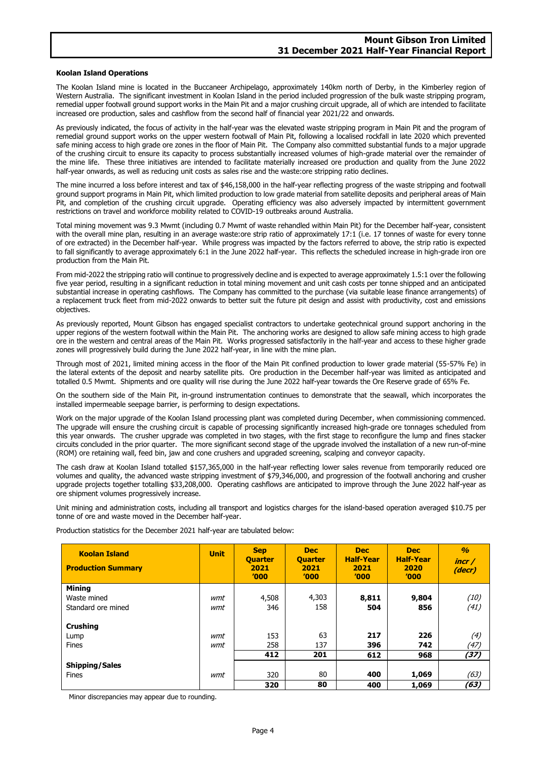#### **Koolan Island Operations**

The Koolan Island mine is located in the Buccaneer Archipelago, approximately 140km north of Derby, in the Kimberley region of Western Australia. The significant investment in Koolan Island in the period included progression of the bulk waste stripping program, remedial upper footwall ground support works in the Main Pit and a major crushing circuit upgrade, all of which are intended to facilitate increased ore production, sales and cashflow from the second half of financial year 2021/22 and onwards.

As previously indicated, the focus of activity in the half-year was the elevated waste stripping program in Main Pit and the program of remedial ground support works on the upper western footwall of Main Pit, following a localised rockfall in late 2020 which prevented safe mining access to high grade ore zones in the floor of Main Pit. The Company also committed substantial funds to a major upgrade of the crushing circuit to ensure its capacity to process substantially increased volumes of high-grade material over the remainder of the mine life. These three initiatives are intended to facilitate materially increased ore production and quality from the June 2022 half-year onwards, as well as reducing unit costs as sales rise and the waste:ore stripping ratio declines.

The mine incurred a loss before interest and tax of \$46,158,000 in the half-year reflecting progress of the waste stripping and footwall ground support programs in Main Pit, which limited production to low grade material from satellite deposits and peripheral areas of Main Pit, and completion of the crushing circuit upgrade. Operating efficiency was also adversely impacted by intermittent government restrictions on travel and workforce mobility related to COVID-19 outbreaks around Australia.

Total mining movement was 9.3 Mwmt (including 0.7 Mwmt of waste rehandled within Main Pit) for the December half-year, consistent with the overall mine plan, resulting in an average waste:ore strip ratio of approximately 17:1 (i.e. 17 tonnes of waste for every tonne of ore extracted) in the December half-year. While progress was impacted by the factors referred to above, the strip ratio is expected to fall significantly to average approximately 6:1 in the June 2022 half-year. This reflects the scheduled increase in high-grade iron ore production from the Main Pit.

From mid-2022 the stripping ratio will continue to progressively decline and is expected to average approximately 1.5:1 over the following five year period, resulting in a significant reduction in total mining movement and unit cash costs per tonne shipped and an anticipated substantial increase in operating cashflows. The Company has committed to the purchase (via suitable lease finance arrangements) of a replacement truck fleet from mid-2022 onwards to better suit the future pit design and assist with productivity, cost and emissions objectives.

As previously reported, Mount Gibson has engaged specialist contractors to undertake geotechnical ground support anchoring in the upper regions of the western footwall within the Main Pit. The anchoring works are designed to allow safe mining access to high grade ore in the western and central areas of the Main Pit. Works progressed satisfactorily in the half-year and access to these higher grade zones will progressively build during the June 2022 half-year, in line with the mine plan.

Through most of 2021, limited mining access in the floor of the Main Pit confined production to lower grade material (55-57% Fe) in the lateral extents of the deposit and nearby satellite pits. Ore production in the December half-year was limited as anticipated and totalled 0.5 Mwmt. Shipments and ore quality will rise during the June 2022 half-year towards the Ore Reserve grade of 65% Fe.

On the southern side of the Main Pit, in-ground instrumentation continues to demonstrate that the seawall, which incorporates the installed impermeable seepage barrier, is performing to design expectations.

Work on the major upgrade of the Koolan Island processing plant was completed during December, when commissioning commenced. The upgrade will ensure the crushing circuit is capable of processing significantly increased high-grade ore tonnages scheduled from this year onwards. The crusher upgrade was completed in two stages, with the first stage to reconfigure the lump and fines stacker circuits concluded in the prior quarter. The more significant second stage of the upgrade involved the installation of a new run-of-mine (ROM) ore retaining wall, feed bin, jaw and cone crushers and upgraded screening, scalping and conveyor capacity.

The cash draw at Koolan Island totalled \$157,365,000 in the half-year reflecting lower sales revenue from temporarily reduced ore volumes and quality, the advanced waste stripping investment of \$79,346,000, and progression of the footwall anchoring and crusher upgrade projects together totalling \$33,208,000. Operating cashflows are anticipated to improve through the June 2022 half-year as ore shipment volumes progressively increase.

Unit mining and administration costs, including all transport and logistics charges for the island-based operation averaged \$10.75 per tonne of ore and waste moved in the December half-year.

Production statistics for the December 2021 half-year are tabulated below:

| <b>Koolan Island</b><br><b>Production Summary</b> | <b>Unit</b> | <b>Sep</b><br><b>Quarter</b><br>2021<br>'000 | <b>Dec</b><br><b>Quarter</b><br>2021<br>'000 | <b>Dec</b><br><b>Half-Year</b><br>2021<br>'000 | <b>Dec</b><br><b>Half-Year</b><br>2020<br>'000 | $\frac{a}{2}$<br>incr/<br>(decr) |
|---------------------------------------------------|-------------|----------------------------------------------|----------------------------------------------|------------------------------------------------|------------------------------------------------|----------------------------------|
| <b>Mining</b>                                     |             |                                              |                                              |                                                |                                                |                                  |
| Waste mined                                       | wmt         | 4,508                                        | 4,303                                        | 8,811                                          | 9,804                                          | (10)                             |
| Standard ore mined                                | wmt         | 346                                          | 158                                          | 504                                            | 856                                            | (41)                             |
| <b>Crushing</b>                                   |             |                                              |                                              |                                                |                                                |                                  |
| Lump                                              | wmt         | 153                                          | 63                                           | 217                                            | 226                                            | (4)                              |
| Fines                                             | wmt         | 258                                          | 137                                          | 396                                            | 742                                            | (47)                             |
|                                                   |             | 412                                          | 201                                          | 612                                            | 968                                            | (37)                             |
| <b>Shipping/Sales</b>                             |             |                                              |                                              |                                                |                                                |                                  |
| Fines                                             | wmt         | 320                                          | 80                                           | 400                                            | 1,069                                          | (63)                             |
|                                                   |             | 320                                          | 80                                           | 400                                            | 1,069                                          | (63)                             |

Minor discrepancies may appear due to rounding.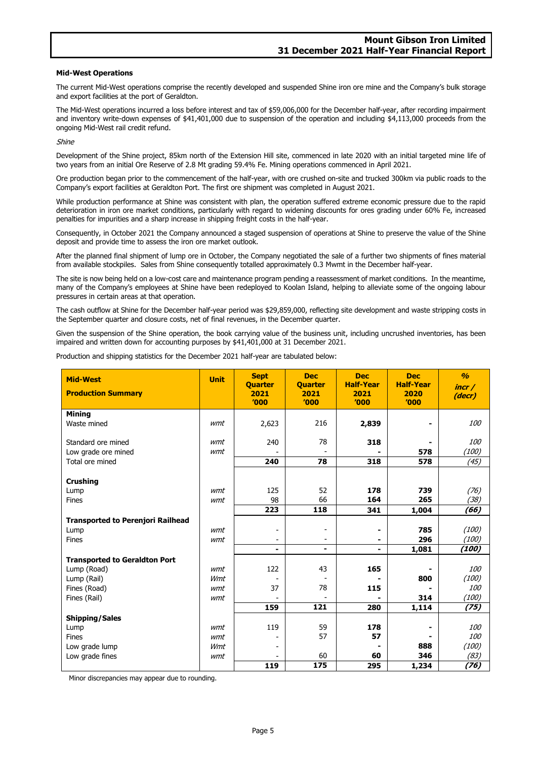#### **Mid-West Operations**

The current Mid-West operations comprise the recently developed and suspended Shine iron ore mine and the Company's bulk storage and export facilities at the port of Geraldton.

The Mid-West operations incurred a loss before interest and tax of \$59,006,000 for the December half-year, after recording impairment and inventory write-down expenses of \$41,401,000 due to suspension of the operation and including \$4,113,000 proceeds from the ongoing Mid-West rail credit refund.

Shine

Development of the Shine project, 85km north of the Extension Hill site, commenced in late 2020 with an initial targeted mine life of two years from an initial Ore Reserve of 2.8 Mt grading 59.4% Fe. Mining operations commenced in April 2021.

Ore production began prior to the commencement of the half-year, with ore crushed on-site and trucked 300km via public roads to the Company's export facilities at Geraldton Port. The first ore shipment was completed in August 2021.

While production performance at Shine was consistent with plan, the operation suffered extreme economic pressure due to the rapid deterioration in iron ore market conditions, particularly with regard to widening discounts for ores grading under 60% Fe, increased penalties for impurities and a sharp increase in shipping freight costs in the half-year.

Consequently, in October 2021 the Company announced a staged suspension of operations at Shine to preserve the value of the Shine deposit and provide time to assess the iron ore market outlook.

After the planned final shipment of lump ore in October, the Company negotiated the sale of a further two shipments of fines material from available stockpiles. Sales from Shine consequently totalled approximately 0.3 Mwmt in the December half-year.

The site is now being held on a low-cost care and maintenance program pending a reassessment of market conditions. In the meantime, many of the Company's employees at Shine have been redeployed to Koolan Island, helping to alleviate some of the ongoing labour pressures in certain areas at that operation.

The cash outflow at Shine for the December half-year period was \$29,859,000, reflecting site development and waste stripping costs in the September quarter and closure costs, net of final revenues, in the December quarter.

Given the suspension of the Shine operation, the book carrying value of the business unit, including uncrushed inventories, has been impaired and written down for accounting purposes by \$41,401,000 at 31 December 2021.

Production and shipping statistics for the December 2021 half-year are tabulated below:

| <b>Mid-West</b><br><b>Production Summary</b> | <b>Unit</b> | <b>Sept</b><br><b>Quarter</b><br>2021<br>'000 | <b>Dec</b><br><b>Quarter</b><br>2021<br>'000 | <b>Dec</b><br><b>Half-Year</b><br>2021<br>'000 | <b>Dec</b><br><b>Half-Year</b><br>2020<br>'000 | $\frac{a}{2}$<br>incr/<br>(decr) |
|----------------------------------------------|-------------|-----------------------------------------------|----------------------------------------------|------------------------------------------------|------------------------------------------------|----------------------------------|
| <b>Mining</b>                                |             |                                               |                                              |                                                |                                                |                                  |
| Waste mined                                  | wmt         | 2,623                                         | 216                                          | 2,839                                          | $\blacksquare$                                 | <i>100</i>                       |
| Standard ore mined                           | wmt         | 240                                           | 78                                           | 318                                            |                                                | <i>100</i>                       |
| Low grade ore mined                          | wmt         |                                               |                                              |                                                | 578                                            | (100)                            |
| Total ore mined                              |             | 240                                           | 78                                           | 318                                            | 578                                            | (45)                             |
| <b>Crushing</b>                              |             |                                               |                                              |                                                |                                                |                                  |
| Lump                                         | wmt         | 125                                           | 52                                           | 178                                            | 739                                            | (76)                             |
| Fines                                        | wmt         | 98                                            | 66                                           | 164<br>265                                     |                                                | (38)                             |
|                                              |             | 223                                           | 118                                          | 341                                            | 1,004                                          | (66)                             |
| <b>Transported to Perenjori Railhead</b>     |             |                                               |                                              |                                                |                                                |                                  |
| Lump                                         | wmt         |                                               | -                                            |                                                | 785                                            | (100)                            |
| Fines                                        | wmt         |                                               | -                                            |                                                | 296                                            | (100)                            |
|                                              |             | ۰                                             | ۰                                            | ۰                                              | 1,081                                          | (100)                            |
| <b>Transported to Geraldton Port</b>         |             |                                               |                                              |                                                |                                                |                                  |
| Lump (Road)                                  | wmt         | 122                                           | 43                                           | 165                                            |                                                | <i>100</i>                       |
| Lump (Rail)                                  | Wmt         |                                               |                                              |                                                | 800                                            | (100)                            |
| Fines (Road)                                 | wmt         | 37                                            | 78                                           | 115                                            |                                                | <i>100</i>                       |
| Fines (Rail)                                 | wmt         |                                               |                                              |                                                | 314                                            | (100)                            |
|                                              |             | 159                                           | 121                                          | 280                                            | 1,114                                          | (75)                             |
| <b>Shipping/Sales</b>                        |             |                                               |                                              |                                                |                                                |                                  |
| Lump                                         | wmt         | 119                                           | 59                                           | 178                                            | $\overline{\phantom{0}}$                       | <i>100</i>                       |
| Fines                                        | wmt         |                                               | 57                                           | 57                                             |                                                | <i>100</i>                       |
| Low grade lump                               | Wmt         |                                               |                                              |                                                | 888                                            | (100)                            |
| Low grade fines                              | wmt         |                                               | 60                                           | 60                                             | 346                                            | (83)                             |
|                                              |             | 119                                           | 175                                          | 295                                            | 1,234                                          | (76)                             |

Minor discrepancies may appear due to rounding.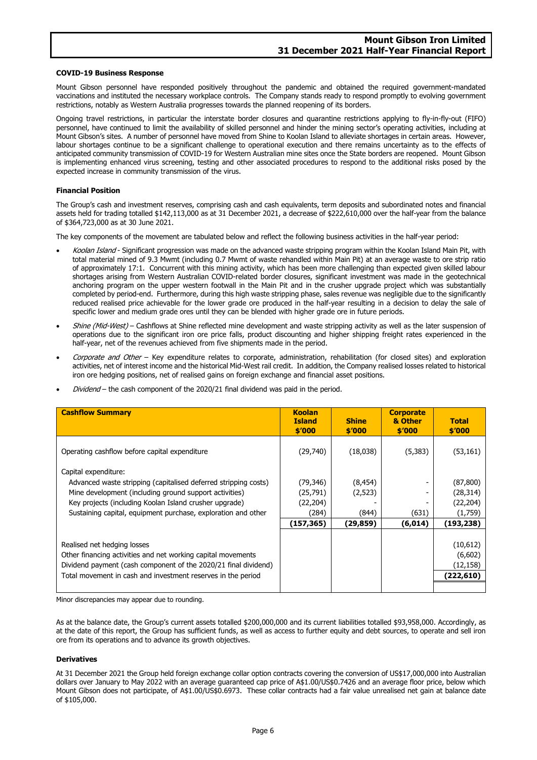#### **COVID-19 Business Response**

Mount Gibson personnel have responded positively throughout the pandemic and obtained the required government-mandated vaccinations and instituted the necessary workplace controls. The Company stands ready to respond promptly to evolving government restrictions, notably as Western Australia progresses towards the planned reopening of its borders.

Ongoing travel restrictions, in particular the interstate border closures and quarantine restrictions applying to fly-in-fly-out (FIFO) personnel, have continued to limit the availability of skilled personnel and hinder the mining sector's operating activities, including at Mount Gibson's sites. A number of personnel have moved from Shine to Koolan Island to alleviate shortages in certain areas. However, labour shortages continue to be a significant challenge to operational execution and there remains uncertainty as to the effects of anticipated community transmission of COVID-19 for Western Australian mine sites once the State borders are reopened. Mount Gibson is implementing enhanced virus screening, testing and other associated procedures to respond to the additional risks posed by the expected increase in community transmission of the virus.

#### **Financial Position**

The Group's cash and investment reserves, comprising cash and cash equivalents, term deposits and subordinated notes and financial assets held for trading totalled \$142,113,000 as at 31 December 2021, a decrease of \$222,610,000 over the half-year from the balance of \$364,723,000 as at 30 June 2021.

The key components of the movement are tabulated below and reflect the following business activities in the half-year period:

- Koolan Island Significant progression was made on the advanced waste stripping program within the Koolan Island Main Pit, with total material mined of 9.3 Mwmt (including 0.7 Mwmt of waste rehandled within Main Pit) at an average waste to ore strip ratio of approximately 17:1. Concurrent with this mining activity, which has been more challenging than expected given skilled labour shortages arising from Western Australian COVID-related border closures, significant investment was made in the geotechnical anchoring program on the upper western footwall in the Main Pit and in the crusher upgrade project which was substantially completed by period-end. Furthermore, during this high waste stripping phase, sales revenue was negligible due to the significantly reduced realised price achievable for the lower grade ore produced in the half-year resulting in a decision to delay the sale of specific lower and medium grade ores until they can be blended with higher grade ore in future periods.
- Shine (Mid-West) Cashflows at Shine reflected mine development and waste stripping activity as well as the later suspension of operations due to the significant iron ore price falls, product discounting and higher shipping freight rates experienced in the half-year, net of the revenues achieved from five shipments made in the period.
- Corporate and Other Key expenditure relates to corporate, administration, rehabilitation (for closed sites) and exploration activities, net of interest income and the historical Mid-West rail credit. In addition, the Company realised losses related to historical iron ore hedging positions, net of realised gains on foreign exchange and financial asset positions.
- Dividend the cash component of the 2020/21 final dividend was paid in the period.

| <b>Cashflow Summary</b>                                         | <b>Koolan</b><br><b>Island</b><br>\$'000 | <b>Shine</b><br>\$'000 | <b>Corporate</b><br>& Other<br>\$′000 | <b>Total</b><br>\$′000 |
|-----------------------------------------------------------------|------------------------------------------|------------------------|---------------------------------------|------------------------|
| Operating cashflow before capital expenditure                   | (29,740)                                 | (18,038)               | (5,383)                               | (53, 161)              |
| Capital expenditure:                                            |                                          |                        |                                       |                        |
| Advanced waste stripping (capitalised deferred stripping costs) | (79, 346)                                | (8, 454)               | $\overline{\phantom{a}}$              | (87, 800)              |
| Mine development (including ground support activities)          | (25, 791)                                | (2,523)                |                                       | (28, 314)              |
| Key projects (including Koolan Island crusher upgrade)          | (22, 204)                                |                        |                                       | (22, 204)              |
| Sustaining capital, equipment purchase, exploration and other   | (284)                                    | (844)                  | (631)                                 | (1,759)                |
|                                                                 | (157, 365)                               | (29,859)               | (6, 014)                              | (193,238)              |
|                                                                 |                                          |                        |                                       |                        |
| Realised net hedging losses                                     |                                          |                        |                                       | (10,612)               |
| Other financing activities and net working capital movements    |                                          |                        |                                       | (6,602)                |
| Dividend payment (cash component of the 2020/21 final dividend) |                                          |                        |                                       | (12, 158)              |
| Total movement in cash and investment reserves in the period    |                                          |                        |                                       | (222,610)              |
|                                                                 |                                          |                        |                                       |                        |

Minor discrepancies may appear due to rounding.

As at the balance date, the Group's current assets totalled \$200,000,000 and its current liabilities totalled \$93,958,000. Accordingly, as at the date of this report, the Group has sufficient funds, as well as access to further equity and debt sources, to operate and sell iron ore from its operations and to advance its growth objectives.

#### **Derivatives**

At 31 December 2021 the Group held foreign exchange collar option contracts covering the conversion of US\$17,000,000 into Australian dollars over January to May 2022 with an average guaranteed cap price of A\$1.00/US\$0.7426 and an average floor price, below which Mount Gibson does not participate, of A\$1.00/US\$0.6973. These collar contracts had a fair value unrealised net gain at balance date of \$105,000.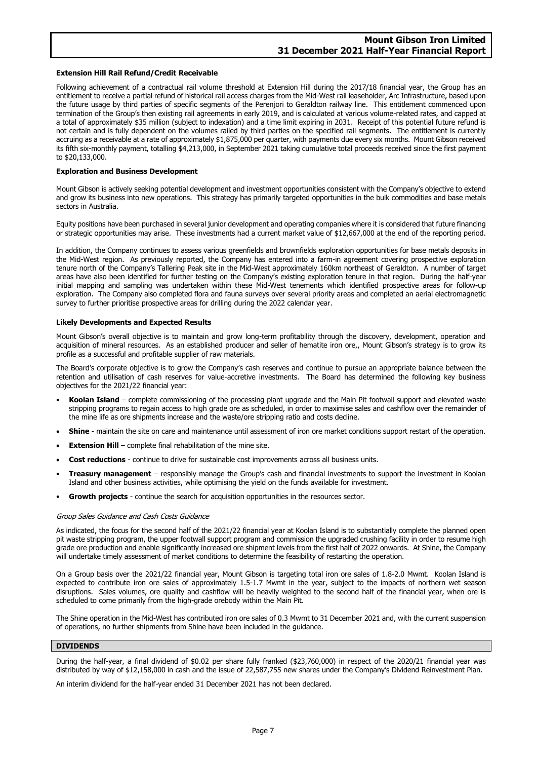#### **Extension Hill Rail Refund/Credit Receivable**

Following achievement of a contractual rail volume threshold at Extension Hill during the 2017/18 financial year, the Group has an entitlement to receive a partial refund of historical rail access charges from the Mid-West rail leaseholder, Arc Infrastructure, based upon the future usage by third parties of specific segments of the Perenjori to Geraldton railway line. This entitlement commenced upon termination of the Group's then existing rail agreements in early 2019, and is calculated at various volume-related rates, and capped at a total of approximately \$35 million (subject to indexation) and a time limit expiring in 2031. Receipt of this potential future refund is not certain and is fully dependent on the volumes railed by third parties on the specified rail segments. The entitlement is currently accruing as a receivable at a rate of approximately \$1,875,000 per quarter, with payments due every six months. Mount Gibson received its fifth six-monthly payment, totalling \$4,213,000, in September 2021 taking cumulative total proceeds received since the first payment to \$20,133,000.

#### **Exploration and Business Development**

Mount Gibson is actively seeking potential development and investment opportunities consistent with the Company's objective to extend and grow its business into new operations. This strategy has primarily targeted opportunities in the bulk commodities and base metals sectors in Australia.

Equity positions have been purchased in several junior development and operating companies where it is considered that future financing or strategic opportunities may arise. These investments had a current market value of \$12,667,000 at the end of the reporting period.

In addition, the Company continues to assess various greenfields and brownfields exploration opportunities for base metals deposits in the Mid-West region. As previously reported, the Company has entered into a farm-in agreement covering prospective exploration tenure north of the Company's Tallering Peak site in the Mid-West approximately 160km northeast of Geraldton. A number of target areas have also been identified for further testing on the Company's existing exploration tenure in that region. During the half-year initial mapping and sampling was undertaken within these Mid-West tenements which identified prospective areas for follow-up exploration. The Company also completed flora and fauna surveys over several priority areas and completed an aerial electromagnetic survey to further prioritise prospective areas for drilling during the 2022 calendar year.

#### **Likely Developments and Expected Results**

Mount Gibson's overall objective is to maintain and grow long-term profitability through the discovery, development, operation and acquisition of mineral resources. As an established producer and seller of hematite iron ore,, Mount Gibson's strategy is to grow its profile as a successful and profitable supplier of raw materials.

The Board's corporate objective is to grow the Company's cash reserves and continue to pursue an appropriate balance between the retention and utilisation of cash reserves for value-accretive investments. The Board has determined the following key business objectives for the 2021/22 financial year:

- **Koolan Island** complete commissioning of the processing plant upgrade and the Main Pit footwall support and elevated waste stripping programs to regain access to high grade ore as scheduled, in order to maximise sales and cashflow over the remainder of the mine life as ore shipments increase and the waste/ore stripping ratio and costs decline.
- **Shine** maintain the site on care and maintenance until assessment of iron ore market conditions support restart of the operation.
- **Extension Hill** complete final rehabilitation of the mine site.
- **Cost reductions** continue to drive for sustainable cost improvements across all business units.
- **Treasury management** responsibly manage the Group's cash and financial investments to support the investment in Koolan Island and other business activities, while optimising the yield on the funds available for investment.
- **Growth projects** continue the search for acquisition opportunities in the resources sector.

#### Group Sales Guidance and Cash Costs Guidance

As indicated, the focus for the second half of the 2021/22 financial year at Koolan Island is to substantially complete the planned open pit waste stripping program, the upper footwall support program and commission the upgraded crushing facility in order to resume high grade ore production and enable significantly increased ore shipment levels from the first half of 2022 onwards. At Shine, the Company will undertake timely assessment of market conditions to determine the feasibility of restarting the operation.

On a Group basis over the 2021/22 financial year, Mount Gibson is targeting total iron ore sales of 1.8-2.0 Mwmt. Koolan Island is expected to contribute iron ore sales of approximately 1.5-1.7 Mwmt in the year, subject to the impacts of northern wet season disruptions. Sales volumes, ore quality and cashflow will be heavily weighted to the second half of the financial year, when ore is scheduled to come primarily from the high-grade orebody within the Main Pit.

The Shine operation in the Mid-West has contributed iron ore sales of 0.3 Mwmt to 31 December 2021 and, with the current suspension of operations, no further shipments from Shine have been included in the guidance.

### **DIVIDENDS**

During the half-year, a final dividend of \$0.02 per share fully franked (\$23,760,000) in respect of the 2020/21 financial year was distributed by way of \$12,158,000 in cash and the issue of 22,587,755 new shares under the Company's Dividend Reinvestment Plan.

An interim dividend for the half-year ended 31 December 2021 has not been declared.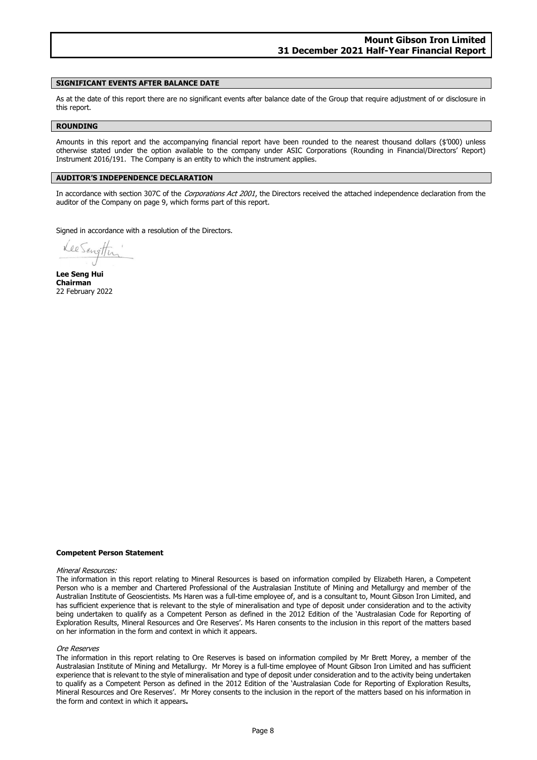#### **SIGNIFICANT EVENTS AFTER BALANCE DATE**

As at the date of this report there are no significant events after balance date of the Group that require adjustment of or disclosure in this report.

#### **ROUNDING**

Amounts in this report and the accompanying financial report have been rounded to the nearest thousand dollars (\$'000) unless otherwise stated under the option available to the company under ASIC Corporations (Rounding in Financial/Directors' Report) Instrument 2016/191. The Company is an entity to which the instrument applies.

#### **AUDITOR'S INDEPENDENCE DECLARATION**

In accordance with section 307C of the Corporations Act 2001, the Directors received the attached independence declaration from the auditor of the Company on page 9, which forms part of this report.

Signed in accordance with a resolution of the Directors.

**Lee Seng Hui Chairman** 22 February 2022

#### **Competent Person Statement**

#### Mineral Resources:

The information in this report relating to Mineral Resources is based on information compiled by Elizabeth Haren, a Competent Person who is a member and Chartered Professional of the Australasian Institute of Mining and Metallurgy and member of the Australian Institute of Geoscientists. Ms Haren was a full-time employee of, and is a consultant to, Mount Gibson Iron Limited, and has sufficient experience that is relevant to the style of mineralisation and type of deposit under consideration and to the activity being undertaken to qualify as a Competent Person as defined in the 2012 Edition of the 'Australasian Code for Reporting of Exploration Results, Mineral Resources and Ore Reserves'. Ms Haren consents to the inclusion in this report of the matters based on her information in the form and context in which it appears.

#### Ore Reserves

The information in this report relating to Ore Reserves is based on information compiled by Mr Brett Morey, a member of the Australasian Institute of Mining and Metallurgy. Mr Morey is a full-time employee of Mount Gibson Iron Limited and has sufficient experience that is relevant to the style of mineralisation and type of deposit under consideration and to the activity being undertaken to qualify as a Competent Person as defined in the 2012 Edition of the 'Australasian Code for Reporting of Exploration Results, Mineral Resources and Ore Reserves'. Mr Morey consents to the inclusion in the report of the matters based on his information in the form and context in which it appears**.**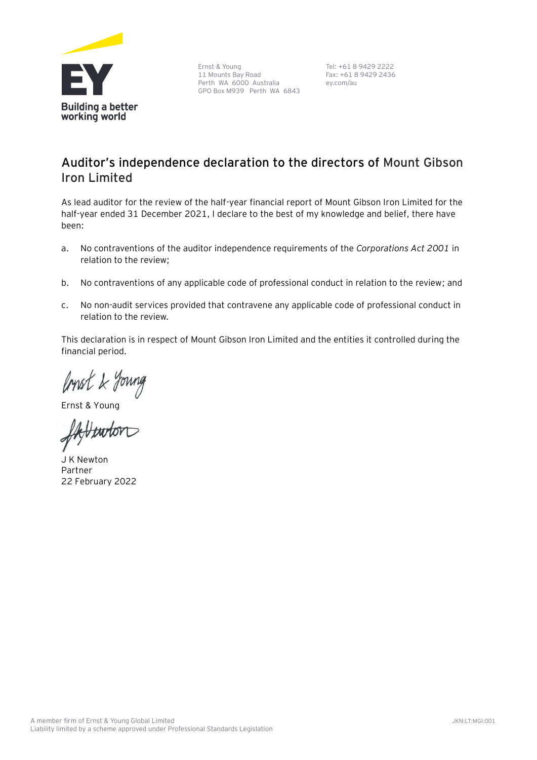

Ernst & Young 11 Mounts Bay Road Perth WA 6000 Australia GPO Box M939 Perth WA 6843

Tel: +61 8 9429 2222 Fax: +61 8 9429 2436 ey.com/au

# **Auditor's independence declaration to the directors of Mount Gibson Iron Limited**

As lead auditor for the review of the half-year financial report of Mount Gibson Iron Limited for the half-year ended 31 December 2021, I declare to the best of my knowledge and belief, there have been:

- a. No contraventions of the auditor independence requirements of the *Corporations Act 2001* in relation to the review;
- b. No contraventions of any applicable code of professional conduct in relation to the review; and
- c. No non-audit services provided that contravene any applicable code of professional conduct in relation to the review.

This declaration is in respect of Mount Gibson Iron Limited and the entities it controlled during the financial period.

Ernst & Young

J K Newton Partner 22 February 2022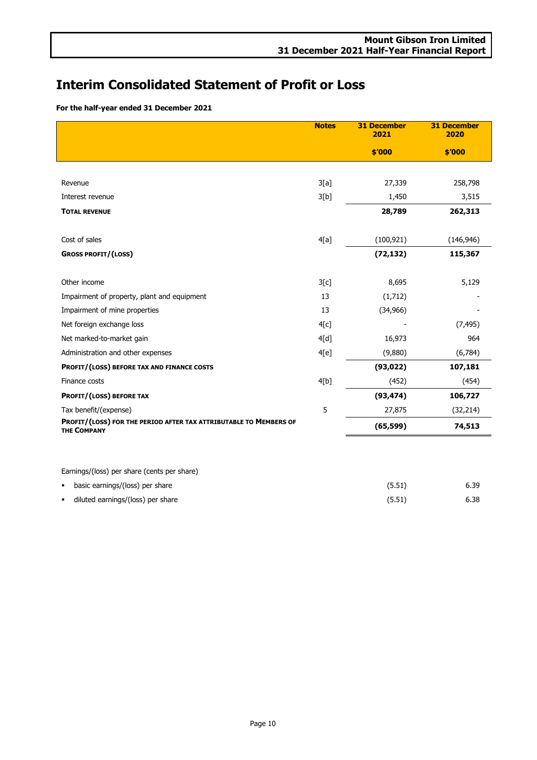# **Interim Consolidated Statement of Profit or Loss**

**For the half-year ended 31 December 2021**

|                                                                                         | <b>Notes</b> | <b>31 December</b><br>2021 | <b>31 December</b><br>2020 |
|-----------------------------------------------------------------------------------------|--------------|----------------------------|----------------------------|
|                                                                                         |              | \$′000                     | \$′000                     |
|                                                                                         |              |                            |                            |
| Revenue                                                                                 | 3[a]         | 27,339                     | 258,798                    |
| Interest revenue                                                                        | 3[b]         | 1,450                      | 3,515                      |
| <b>TOTAL REVENUE</b>                                                                    |              | 28,789                     | 262,313                    |
| Cost of sales                                                                           | 4[a]         | (100, 921)                 | (146, 946)                 |
| <b>GROSS PROFIT/(LOSS)</b>                                                              |              | (72, 132)                  | 115,367                    |
| Other income                                                                            | 3[c]         | 8,695                      | 5,129                      |
| Impairment of property, plant and equipment                                             | 13           | (1,712)                    |                            |
| Impairment of mine properties                                                           | 13           | (34, 966)                  |                            |
| Net foreign exchange loss                                                               | 4[c]         |                            | (7, 495)                   |
| Net marked-to-market gain                                                               | 4[d]         | 16,973                     | 964                        |
| Administration and other expenses                                                       | 4[e]         | (9,880)                    | (6,784)                    |
| PROFIT/(LOSS) BEFORE TAX AND FINANCE COSTS                                              |              | (93, 022)                  | 107,181                    |
| Finance costs                                                                           | 4[b]         | (452)                      | (454)                      |
| PROFIT/(LOSS) BEFORE TAX                                                                |              | (93, 474)                  | 106,727                    |
| Tax benefit/(expense)                                                                   | 5            | 27,875                     | (32, 214)                  |
| PROFIT/(LOSS) FOR THE PERIOD AFTER TAX ATTRIBUTABLE TO MEMBERS OF<br><b>THE COMPANY</b> |              | (65, 599)                  | 74,513                     |
|                                                                                         |              |                            |                            |
| Earnings/(loss) per share (cents per share)                                             |              |                            |                            |

| basic earnings/(loss) per share   | (5.51) | 6.39 |
|-----------------------------------|--------|------|
| diluted earnings/(loss) per share | (5.51) | 6.38 |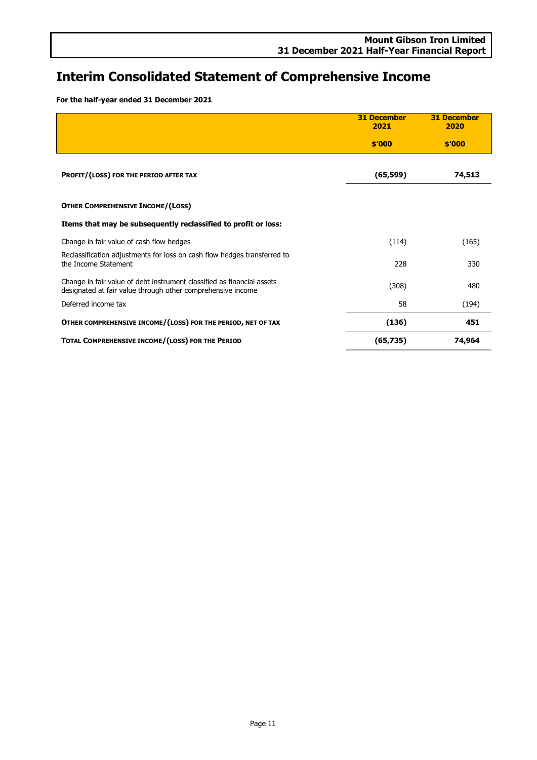# **Interim Consolidated Statement of Comprehensive Income**

**For the half-year ended 31 December 2021**

|                                                                                                                                       | <b>31 December</b><br>2021 | <b>31 December</b><br>2020 |
|---------------------------------------------------------------------------------------------------------------------------------------|----------------------------|----------------------------|
|                                                                                                                                       | \$'000                     | \$′000                     |
|                                                                                                                                       |                            |                            |
| PROFIT/(LOSS) FOR THE PERIOD AFTER TAX                                                                                                | (65, 599)                  | 74,513                     |
|                                                                                                                                       |                            |                            |
| <b>OTHER COMPREHENSIVE INCOME/(LOSS)</b>                                                                                              |                            |                            |
| Items that may be subsequently reclassified to profit or loss:                                                                        |                            |                            |
| Change in fair value of cash flow hedges                                                                                              | (114)                      | (165)                      |
| Reclassification adjustments for loss on cash flow hedges transferred to<br>the Income Statement                                      | 228                        | 330                        |
| Change in fair value of debt instrument classified as financial assets<br>designated at fair value through other comprehensive income | (308)                      | 480                        |
| Deferred income tax                                                                                                                   | 58                         | (194)                      |
| OTHER COMPREHENSIVE INCOME/(LOSS) FOR THE PERIOD, NET OF TAX                                                                          | (136)                      | 451                        |
| TOTAL COMPREHENSIVE INCOME/(LOSS) FOR THE PERIOD                                                                                      | (65, 735)                  | 74,964                     |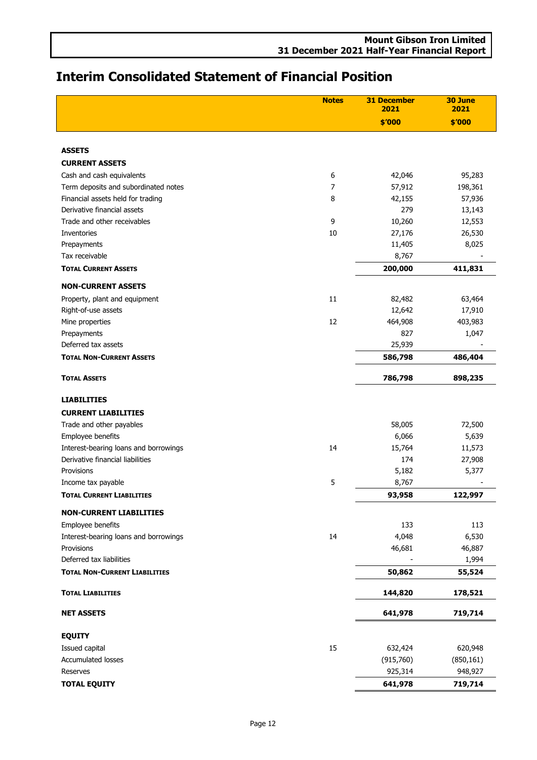|                                             | <b>Mount Gibson Iron Limited</b> |  |
|---------------------------------------------|----------------------------------|--|
| 31 December 2021 Half-Year Financial Report |                                  |  |

# **Interim Consolidated Statement of Financial Position**

|                                       | <b>Notes</b> | <b>31 December</b><br>2021 | 30 June<br>2021 |
|---------------------------------------|--------------|----------------------------|-----------------|
|                                       |              | \$'000                     | \$'000          |
|                                       |              |                            |                 |
| <b>ASSETS</b>                         |              |                            |                 |
| <b>CURRENT ASSETS</b>                 |              |                            |                 |
| Cash and cash equivalents             | 6            | 42,046                     | 95,283          |
| Term deposits and subordinated notes  | 7            | 57,912                     | 198,361         |
| Financial assets held for trading     | 8            | 42,155                     | 57,936          |
| Derivative financial assets           |              | 279                        | 13,143          |
| Trade and other receivables           | 9            | 10,260                     | 12,553          |
| Inventories                           | 10           | 27,176                     | 26,530          |
| Prepayments                           |              | 11,405                     | 8,025           |
| Tax receivable                        |              | 8,767                      |                 |
| <b>TOTAL CURRENT ASSETS</b>           |              | 200,000                    | 411,831         |
| <b>NON-CURRENT ASSETS</b>             |              |                            |                 |
| Property, plant and equipment         | 11           | 82,482                     | 63,464          |
| Right-of-use assets                   |              | 12,642                     | 17,910          |
| Mine properties                       | 12           | 464,908                    | 403,983         |
| Prepayments                           |              | 827                        | 1,047           |
| Deferred tax assets                   |              | 25,939                     |                 |
| <b>TOTAL NON-CURRENT ASSETS</b>       |              | 586,798                    | 486,404         |
| <b>TOTAL ASSETS</b>                   |              | 786,798                    | 898,235         |
| <b>LIABILITIES</b>                    |              |                            |                 |
| <b>CURRENT LIABILITIES</b>            |              |                            |                 |
| Trade and other payables              |              | 58,005                     | 72,500          |
| Employee benefits                     |              | 6,066                      | 5,639           |
| Interest-bearing loans and borrowings | 14           | 15,764                     | 11,573          |
| Derivative financial liabilities      |              | 174                        | 27,908          |
| Provisions                            |              | 5,182                      | 5,377           |
| Income tax payable                    | 5            | 8,767                      |                 |
| <b>TOTAL CURRENT LIABILITIES</b>      |              | 93,958                     | 122,997         |
| <b>NON-CURRENT LIABILITIES</b>        |              |                            |                 |
| Employee benefits                     |              | 133                        | 113             |
| Interest-bearing loans and borrowings | 14           | 4,048                      | 6,530           |
| Provisions                            |              | 46,681                     | 46,887          |
| Deferred tax liabilities              |              |                            | 1,994           |
| <b>TOTAL NON-CURRENT LIABILITIES</b>  |              | 50,862                     | 55,524          |
| <b>TOTAL LIABILITIES</b>              |              | 144,820                    | 178,521         |
| <b>NET ASSETS</b>                     |              | 641,978                    | 719,714         |
| <b>EQUITY</b>                         |              |                            |                 |
| Issued capital                        | 15           | 632,424                    | 620,948         |
| <b>Accumulated losses</b>             |              | (915,760)                  | (850, 161)      |
| Reserves                              |              | 925,314                    | 948,927         |
| <b>TOTAL EQUITY</b>                   |              | 641,978                    | 719,714         |
|                                       |              |                            |                 |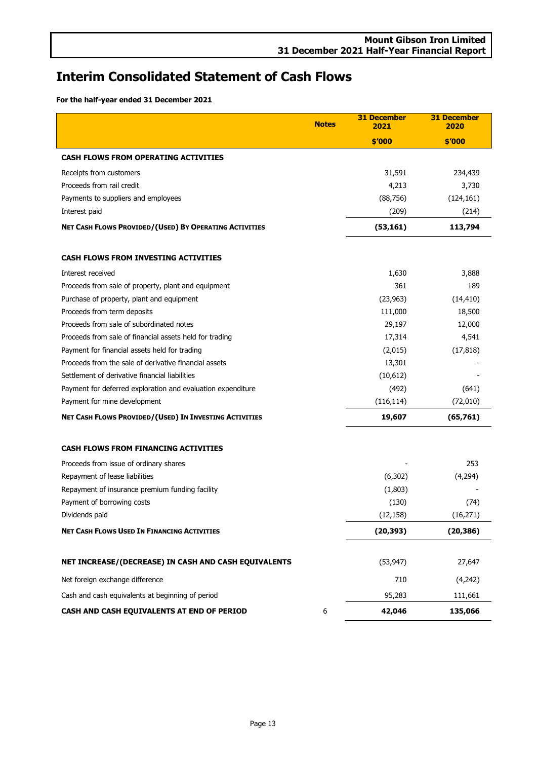# **Interim Consolidated Statement of Cash Flows**

**For the half-year ended 31 December 2021**

|                                                             | <b>Notes</b> | <b>31 December</b><br>2021 | <b>31 December</b><br>2020 |
|-------------------------------------------------------------|--------------|----------------------------|----------------------------|
|                                                             |              | \$'000                     | \$'000                     |
| <b>CASH FLOWS FROM OPERATING ACTIVITIES</b>                 |              |                            |                            |
| Receipts from customers                                     |              | 31,591                     | 234,439                    |
| Proceeds from rail credit                                   |              | 4,213                      | 3,730                      |
| Payments to suppliers and employees                         |              | (88, 756)                  | (124, 161)                 |
| Interest paid                                               |              | (209)                      | (214)                      |
| NET CASH FLOWS PROVIDED/(USED) BY OPERATING ACTIVITIES      |              | (53, 161)                  | 113,794                    |
| <b>CASH FLOWS FROM INVESTING ACTIVITIES</b>                 |              |                            |                            |
| Interest received                                           |              | 1,630                      | 3,888                      |
| Proceeds from sale of property, plant and equipment         |              | 361                        | 189                        |
| Purchase of property, plant and equipment                   |              | (23, 963)                  | (14, 410)                  |
| Proceeds from term deposits                                 |              | 111,000                    | 18,500                     |
| Proceeds from sale of subordinated notes                    |              | 29,197                     | 12,000                     |
| Proceeds from sale of financial assets held for trading     |              | 17,314                     | 4,541                      |
| Payment for financial assets held for trading               |              | (2,015)                    | (17, 818)                  |
| Proceeds from the sale of derivative financial assets       |              | 13,301                     |                            |
| Settlement of derivative financial liabilities              |              | (10,612)                   |                            |
| Payment for deferred exploration and evaluation expenditure |              | (492)                      | (641)                      |
| Payment for mine development                                |              | (116, 114)                 | (72, 010)                  |
| NET CASH FLOWS PROVIDED/(USED) IN INVESTING ACTIVITIES      |              | 19,607                     | (65, 761)                  |
| <b>CASH FLOWS FROM FINANCING ACTIVITIES</b>                 |              |                            |                            |
| Proceeds from issue of ordinary shares                      |              |                            | 253                        |
| Repayment of lease liabilities                              |              | (6,302)                    | (4,294)                    |
| Repayment of insurance premium funding facility             |              | (1,803)                    |                            |
| Payment of borrowing costs                                  |              | (130)                      | (74)                       |
| Dividends paid                                              |              | (12, 158)                  | (16, 271)                  |
| <b>NET CASH FLOWS USED IN FINANCING ACTIVITIES</b>          |              | (20, 393)                  | (20, 386)                  |
| NET INCREASE/(DECREASE) IN CASH AND CASH EQUIVALENTS        |              | (53, 947)                  | 27,647                     |
| Net foreign exchange difference                             |              | 710                        | (4,242)                    |
| Cash and cash equivalents at beginning of period            |              | 95,283                     | 111,661                    |
| CASH AND CASH EQUIVALENTS AT END OF PERIOD                  | 6            | 42,046                     | 135,066                    |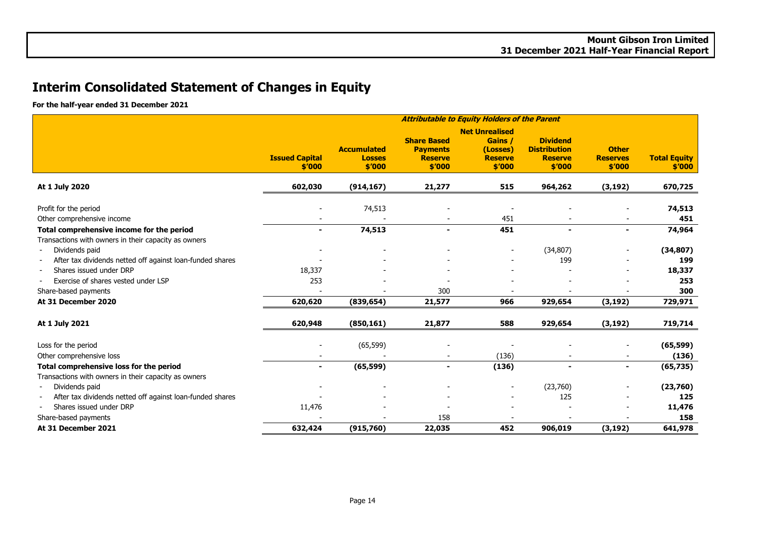# **Interim Consolidated Statement of Changes in Equity**

**For the half-year ended 31 December 2021**

|                                                                             | <b>Attributable to Equity Holders of the Parent</b> |                                               |                                                                   |                                                                          |                                                                    |                                           |                               |
|-----------------------------------------------------------------------------|-----------------------------------------------------|-----------------------------------------------|-------------------------------------------------------------------|--------------------------------------------------------------------------|--------------------------------------------------------------------|-------------------------------------------|-------------------------------|
|                                                                             | <b>Issued Capital</b><br>\$′000                     | <b>Accumulated</b><br><b>Losses</b><br>\$′000 | <b>Share Based</b><br><b>Payments</b><br><b>Reserve</b><br>\$′000 | <b>Net Unrealised</b><br>Gains /<br>(Losses)<br><b>Reserve</b><br>\$'000 | <b>Dividend</b><br><b>Distribution</b><br><b>Reserve</b><br>\$′000 | <b>Other</b><br><b>Reserves</b><br>\$′000 | <b>Total Equity</b><br>\$′000 |
| At 1 July 2020                                                              | 602,030                                             | (914, 167)                                    | 21,277                                                            | 515                                                                      | 964,262                                                            | (3, 192)                                  | 670,725                       |
| Profit for the period<br>Other comprehensive income                         |                                                     | 74,513                                        |                                                                   | 451                                                                      |                                                                    |                                           | 74,513<br>451                 |
| Total comprehensive income for the period                                   | $\blacksquare$                                      | 74,513                                        | $\blacksquare$                                                    | 451                                                                      |                                                                    | $\overline{\phantom{0}}$                  | 74,964                        |
| Transactions with owners in their capacity as owners                        |                                                     |                                               |                                                                   |                                                                          |                                                                    |                                           |                               |
| Dividends paid<br>After tax dividends netted off against loan-funded shares |                                                     |                                               |                                                                   |                                                                          | (34, 807)<br>199                                                   |                                           | (34, 807)<br>199              |
| Shares issued under DRP                                                     | 18,337                                              |                                               |                                                                   |                                                                          |                                                                    |                                           | 18,337                        |
| Exercise of shares vested under LSP                                         | 253                                                 |                                               |                                                                   |                                                                          |                                                                    |                                           | 253                           |
| Share-based payments                                                        |                                                     |                                               | 300                                                               |                                                                          |                                                                    |                                           | 300                           |
| At 31 December 2020                                                         | 620,620                                             | (839, 654)                                    | 21,577                                                            | 966                                                                      | 929,654                                                            | (3, 192)                                  | 729,971                       |
| At 1 July 2021                                                              | 620,948                                             | (850, 161)                                    | 21,877                                                            | 588                                                                      | 929,654                                                            | (3, 192)                                  | 719,714                       |
| Loss for the period                                                         |                                                     | (65, 599)                                     |                                                                   |                                                                          |                                                                    |                                           | (65, 599)                     |
| Other comprehensive loss                                                    |                                                     |                                               |                                                                   | (136)                                                                    |                                                                    |                                           | (136)                         |
| Total comprehensive loss for the period                                     | $\blacksquare$                                      | (65, 599)                                     | $\overline{\phantom{0}}$                                          | (136)                                                                    | $\overline{\phantom{0}}$                                           | $\blacksquare$                            | (65, 735)                     |
| Transactions with owners in their capacity as owners                        |                                                     |                                               |                                                                   |                                                                          |                                                                    |                                           |                               |
| Dividends paid                                                              |                                                     |                                               |                                                                   |                                                                          | (23,760)                                                           |                                           | (23,760)                      |
| After tax dividends netted off against loan-funded shares                   |                                                     |                                               |                                                                   |                                                                          | 125                                                                |                                           | 125                           |
| Shares issued under DRP                                                     | 11,476                                              |                                               |                                                                   |                                                                          |                                                                    |                                           | 11,476                        |
| Share-based payments                                                        |                                                     |                                               | 158                                                               |                                                                          |                                                                    |                                           | 158                           |
| At 31 December 2021                                                         | 632,424                                             | (915,760)                                     | 22,035                                                            | 452                                                                      | 906,019                                                            | (3, 192)                                  | 641,978                       |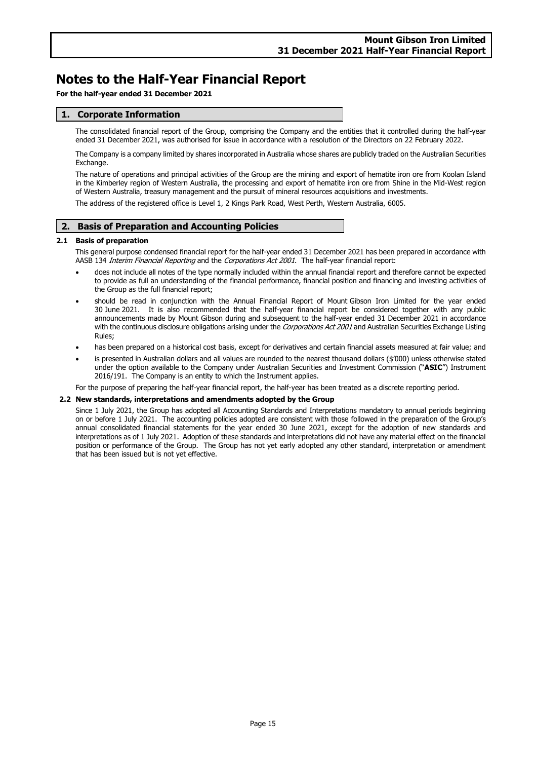**For the half-year ended 31 December 2021**

### **1. Corporate Information**

The consolidated financial report of the Group, comprising the Company and the entities that it controlled during the half-year ended 31 December 2021, was authorised for issue in accordance with a resolution of the Directors on 22 February 2022.

The Company is a company limited by shares incorporated in Australia whose shares are publicly traded on the Australian Securities Exchange.

The nature of operations and principal activities of the Group are the mining and export of hematite iron ore from Koolan Island in the Kimberley region of Western Australia, the processing and export of hematite iron ore from Shine in the Mid-West region of Western Australia, treasury management and the pursuit of mineral resources acquisitions and investments.

The address of the registered office is Level 1, 2 Kings Park Road, West Perth, Western Australia, 6005.

### **2. Basis of Preparation and Accounting Policies**

### **2.1 Basis of preparation**

This general purpose condensed financial report for the half-year ended 31 December 2021 has been prepared in accordance with AASB 134 Interim Financial Reporting and the Corporations Act 2001. The half-year financial report:

- does not include all notes of the type normally included within the annual financial report and therefore cannot be expected to provide as full an understanding of the financial performance, financial position and financing and investing activities of the Group as the full financial report;
- should be read in conjunction with the Annual Financial Report of Mount Gibson Iron Limited for the year ended 30 June 2021. It is also recommended that the half-year financial report be considered together with any public announcements made by Mount Gibson during and subsequent to the half-year ended 31 December 2021 in accordance with the continuous disclosure obligations arising under the Corporations Act 2001 and Australian Securities Exchange Listing Rules;
- has been prepared on a historical cost basis, except for derivatives and certain financial assets measured at fair value; and
- is presented in Australian dollars and all values are rounded to the nearest thousand dollars (\$'000) unless otherwise stated under the option available to the Company under Australian Securities and Investment Commission ("**ASIC**") Instrument 2016/191. The Company is an entity to which the Instrument applies.

For the purpose of preparing the half-year financial report, the half-year has been treated as a discrete reporting period.

#### **2.2 New standards, interpretations and amendments adopted by the Group**

Since 1 July 2021, the Group has adopted all Accounting Standards and Interpretations mandatory to annual periods beginning on or before 1 July 2021. The accounting policies adopted are consistent with those followed in the preparation of the Group's annual consolidated financial statements for the year ended 30 June 2021, except for the adoption of new standards and interpretations as of 1 July 2021. Adoption of these standards and interpretations did not have any material effect on the financial position or performance of the Group. The Group has not yet early adopted any other standard, interpretation or amendment that has been issued but is not yet effective.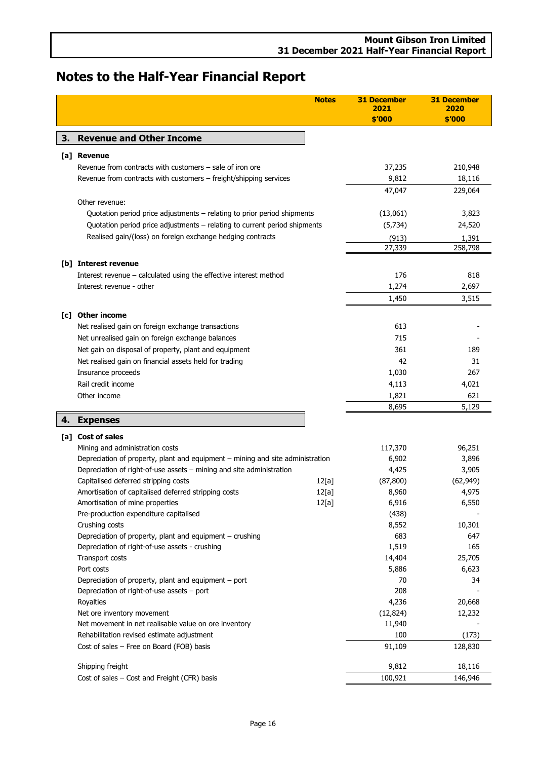<span id="page-17-5"></span><span id="page-17-4"></span><span id="page-17-3"></span><span id="page-17-2"></span><span id="page-17-1"></span><span id="page-17-0"></span>

|    |                                                                                | <b>Notes</b> | <b>31 December</b><br>2021<br>\$'000 | <b>31 December</b><br>2020<br>\$'000 |
|----|--------------------------------------------------------------------------------|--------------|--------------------------------------|--------------------------------------|
| З. | <b>Revenue and Other Income</b>                                                |              |                                      |                                      |
|    | [a] Revenue                                                                    |              |                                      |                                      |
|    | Revenue from contracts with customers - sale of iron ore                       |              | 37,235                               | 210,948                              |
|    | Revenue from contracts with customers - freight/shipping services              |              | 9,812                                | 18,116                               |
|    |                                                                                |              | 47,047                               | 229,064                              |
|    | Other revenue:                                                                 |              |                                      |                                      |
|    | Quotation period price adjustments - relating to prior period shipments        |              | (13,061)                             | 3,823                                |
|    | Quotation period price adjustments - relating to current period shipments      |              | (5,734)                              | 24,520                               |
|    | Realised gain/(loss) on foreign exchange hedging contracts                     |              | (913)                                | 1,391                                |
|    |                                                                                |              | 27,339                               | 258,798                              |
|    | [b] Interest revenue                                                           |              |                                      |                                      |
|    | Interest revenue - calculated using the effective interest method              |              | 176                                  | 818                                  |
|    | Interest revenue - other                                                       |              | 1,274                                | 2,697                                |
|    |                                                                                |              | 1,450                                | 3,515                                |
|    |                                                                                |              |                                      |                                      |
|    | [c] Other income                                                               |              |                                      |                                      |
|    | Net realised gain on foreign exchange transactions                             |              | 613                                  |                                      |
|    | Net unrealised gain on foreign exchange balances                               |              | 715                                  |                                      |
|    | Net gain on disposal of property, plant and equipment                          |              | 361                                  | 189                                  |
|    | Net realised gain on financial assets held for trading                         |              | 42                                   | 31                                   |
|    | Insurance proceeds                                                             |              | 1,030                                | 267                                  |
|    | Rail credit income                                                             |              | 4,113                                | 4,021                                |
|    | Other income                                                                   |              | 1,821                                | 621                                  |
|    |                                                                                |              | 8,695                                | 5,129                                |
| 4. | <b>Expenses</b>                                                                |              |                                      |                                      |
|    | [a] Cost of sales                                                              |              |                                      |                                      |
|    | Mining and administration costs                                                |              | 117,370                              | 96,251                               |
|    | Depreciation of property, plant and equipment - mining and site administration |              | 6,902                                | 3,896                                |
|    | Depreciation of right-of-use assets - mining and site administration           |              | 4,425                                | 3,905                                |
|    | Capitalised deferred stripping costs                                           | 12[a]        | (87, 800)                            | (62, 949)                            |
|    | Amortisation of capitalised deferred stripping costs                           | 12[a]        | 8,960                                | 4,975                                |
|    | Amortisation of mine properties                                                | 12[a]        | 6,916                                | 6,550                                |
|    | Pre-production expenditure capitalised                                         |              | (438)                                |                                      |
|    | Crushing costs                                                                 |              | 8,552                                | 10,301                               |
|    | Depreciation of property, plant and equipment - crushing                       |              | 683                                  | 647                                  |
|    | Depreciation of right-of-use assets - crushing                                 |              | 1,519                                | 165                                  |
|    | Transport costs                                                                |              | 14,404                               | 25,705                               |
|    | Port costs                                                                     |              | 5,886                                | 6,623                                |
|    | Depreciation of property, plant and equipment – port                           |              | 70                                   | 34                                   |
|    | Depreciation of right-of-use assets - port                                     |              | 208                                  |                                      |
|    | Royalties                                                                      |              | 4,236                                | 20,668                               |
|    | Net ore inventory movement                                                     |              | (12, 824)                            | 12,232                               |
|    | Net movement in net realisable value on ore inventory                          |              | 11,940                               |                                      |
|    | Rehabilitation revised estimate adjustment                                     |              | 100                                  | (173)                                |
|    | Cost of sales - Free on Board (FOB) basis                                      |              | 91,109                               | 128,830                              |
|    | Shipping freight                                                               |              | 9,812                                | 18,116                               |
|    | Cost of sales - Cost and Freight (CFR) basis                                   |              | 100,921                              | 146,946                              |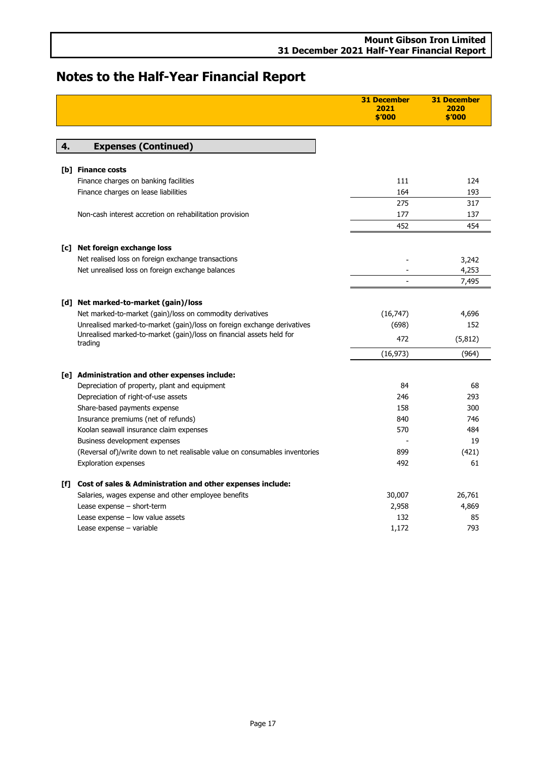<span id="page-18-3"></span><span id="page-18-2"></span><span id="page-18-1"></span><span id="page-18-0"></span>

|    |                                                                                      | <b>31 December</b><br>2021<br>\$'000 | <b>31 December</b><br>2020<br>\$'000 |
|----|--------------------------------------------------------------------------------------|--------------------------------------|--------------------------------------|
|    |                                                                                      |                                      |                                      |
| 4. | <b>Expenses (Continued)</b>                                                          |                                      |                                      |
|    |                                                                                      |                                      |                                      |
|    | <b>[b] Finance costs</b>                                                             |                                      |                                      |
|    | Finance charges on banking facilities                                                | 111                                  | 124                                  |
|    | Finance charges on lease liabilities                                                 | 164                                  | 193                                  |
|    |                                                                                      | 275                                  | 317                                  |
|    | Non-cash interest accretion on rehabilitation provision                              | 177                                  | 137                                  |
|    |                                                                                      | 452                                  | 454                                  |
|    | [c] Net foreign exchange loss                                                        |                                      |                                      |
|    | Net realised loss on foreign exchange transactions                                   |                                      | 3,242                                |
|    | Net unrealised loss on foreign exchange balances                                     |                                      | 4,253                                |
|    |                                                                                      |                                      | 7,495                                |
|    |                                                                                      |                                      |                                      |
|    | [d] Net marked-to-market (gain)/loss                                                 |                                      |                                      |
|    | Net marked-to-market (gain)/loss on commodity derivatives                            | (16, 747)                            | 4,696                                |
|    | Unrealised marked-to-market (gain)/loss on foreign exchange derivatives              | (698)                                | 152                                  |
|    | Unrealised marked-to-market (gain)/loss on financial assets held for<br>trading      | 472                                  | (5, 812)                             |
|    |                                                                                      | (16, 973)                            | (964)                                |
|    |                                                                                      |                                      |                                      |
|    | [e] Administration and other expenses include:                                       | 84                                   | 68                                   |
|    | Depreciation of property, plant and equipment<br>Depreciation of right-of-use assets | 246                                  | 293                                  |
|    | Share-based payments expense                                                         | 158                                  | 300                                  |
|    | Insurance premiums (net of refunds)                                                  | 840                                  | 746                                  |
|    | Koolan seawall insurance claim expenses                                              | 570                                  | 484                                  |
|    | Business development expenses                                                        |                                      | 19                                   |
|    | (Reversal of)/write down to net realisable value on consumables inventories          | 899                                  | (421)                                |
|    | <b>Exploration expenses</b>                                                          | 492                                  | 61                                   |
|    |                                                                                      |                                      |                                      |
|    | [f] Cost of sales & Administration and other expenses include:                       |                                      |                                      |
|    | Salaries, wages expense and other employee benefits                                  | 30,007                               | 26,761                               |
|    | Lease expense - short-term<br>Lease expense - low value assets                       | 2,958<br>132                         | 4,869<br>85                          |
|    | Lease expense - variable                                                             | 1,172                                | 793                                  |
|    |                                                                                      |                                      |                                      |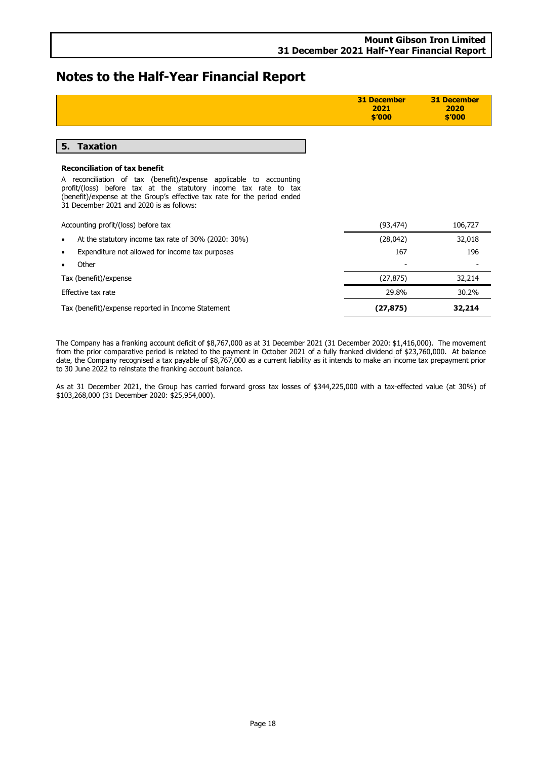<span id="page-19-0"></span>

|                                                                                                                                                                                                                                                                | <b>31 December</b><br>2021<br>\$′000 | <b>31 December</b><br>2020<br>\$'000 |
|----------------------------------------------------------------------------------------------------------------------------------------------------------------------------------------------------------------------------------------------------------------|--------------------------------------|--------------------------------------|
|                                                                                                                                                                                                                                                                |                                      |                                      |
| 5. Taxation                                                                                                                                                                                                                                                    |                                      |                                      |
| <b>Reconciliation of tax benefit</b>                                                                                                                                                                                                                           |                                      |                                      |
| A reconciliation of tax (benefit)/expense applicable to accounting<br>profit/(loss) before tax at the statutory income tax rate to tax<br>(benefit)/expense at the Group's effective tax rate for the period ended<br>31 December 2021 and 2020 is as follows: |                                      |                                      |
| Accounting profit/(loss) before tax                                                                                                                                                                                                                            | (93, 474)                            | 106,727                              |
| At the statutory income tax rate of 30% (2020: 30%)                                                                                                                                                                                                            | (28,042)                             | 32,018                               |
| Expenditure not allowed for income tax purposes                                                                                                                                                                                                                | 167                                  | 196                                  |
| Other                                                                                                                                                                                                                                                          |                                      |                                      |
| Tax (benefit)/expense                                                                                                                                                                                                                                          | (27, 875)                            | 32,214                               |
| Effective tax rate                                                                                                                                                                                                                                             | 29.8%                                | 30.2%                                |
| Tax (benefit)/expense reported in Income Statement                                                                                                                                                                                                             | (27, 875)                            | 32,214                               |

The Company has a franking account deficit of \$8,767,000 as at 31 December 2021 (31 December 2020: \$1,416,000). The movement from the prior comparative period is related to the payment in October 2021 of a fully franked dividend of \$23,760,000. At balance date, the Company recognised a tax payable of \$8,767,000 as a current liability as it intends to make an income tax prepayment prior to 30 June 2022 to reinstate the franking account balance.

As at 31 December 2021, the Group has carried forward gross tax losses of \$344,225,000 with a tax-effected value (at 30%) of \$103,268,000 (31 December 2020: \$25,954,000).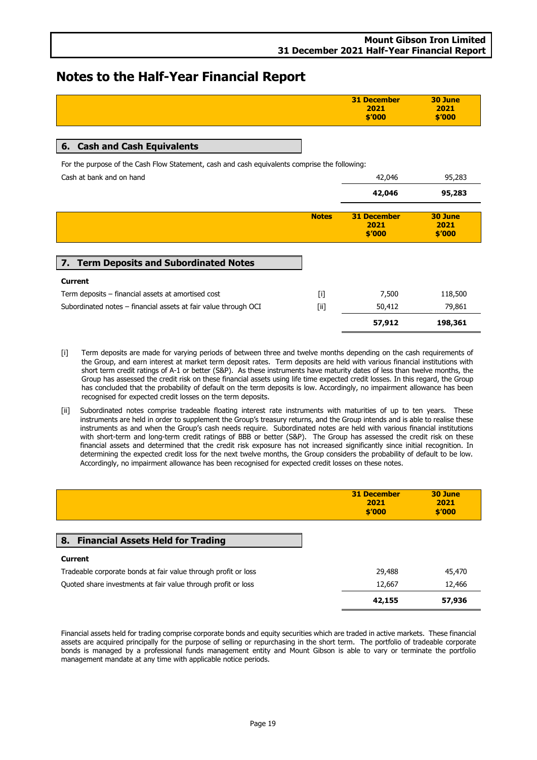| 31 December<br>2021 | 30 June<br>2021 |
|---------------------|-----------------|
| \$′000              | \$′000          |
|                     |                 |

### <span id="page-20-0"></span>**6. Cash and Cash Equivalents**

For the purpose of the Cash Flow Statement, cash and cash equivalents comprise the following:

Cash at bank and on hand **42,046** 95,283

<span id="page-20-1"></span>

|                                                                 |              |                                      | $-1$                      |
|-----------------------------------------------------------------|--------------|--------------------------------------|---------------------------|
|                                                                 |              | 42,046                               | 95,283                    |
|                                                                 | <b>Notes</b> | <b>31 December</b><br>2021<br>\$′000 | 30 June<br>2021<br>\$′000 |
| 7. Term Deposits and Subordinated Notes                         |              |                                      |                           |
| <b>Current</b>                                                  |              |                                      |                           |
| Term deposits – financial assets at amortised cost              | $[1]$        | 7,500                                | 118,500                   |
| Subordinated notes - financial assets at fair value through OCI | $[$ i]       | 50,412                               | 79,861                    |
|                                                                 |              | 57,912                               | 198,361                   |

- [i] Term deposits are made for varying periods of between three and twelve months depending on the cash requirements of the Group, and earn interest at market term deposit rates. Term deposits are held with various financial institutions with short term credit ratings of A-1 or better (S&P). As these instruments have maturity dates of less than twelve months, the Group has assessed the credit risk on these financial assets using life time expected credit losses. In this regard, the Group has concluded that the probability of default on the term deposits is low. Accordingly, no impairment allowance has been recognised for expected credit losses on the term deposits.
- [ii] Subordinated notes comprise tradeable floating interest rate instruments with maturities of up to ten years. These instruments are held in order to supplement the Group's treasury returns, and the Group intends and is able to realise these instruments as and when the Group's cash needs require. Subordinated notes are held with various financial institutions with short-term and long-term credit ratings of BBB or better (S&P). The Group has assessed the credit risk on these financial assets and determined that the credit risk exposure has not increased significantly since initial recognition. In determining the expected credit loss for the next twelve months, the Group considers the probability of default to be low. Accordingly, no impairment allowance has been recognised for expected credit losses on these notes.

<span id="page-20-2"></span>

|                                                                | <b>31 December</b><br>2021<br>\$′000 | 30 June<br>2021<br>\$′000 |
|----------------------------------------------------------------|--------------------------------------|---------------------------|
| <b>Financial Assets Held for Trading</b><br>8.                 |                                      |                           |
| <b>Current</b>                                                 |                                      |                           |
| Tradeable corporate bonds at fair value through profit or loss | 29,488                               | 45,470                    |
| Quoted share investments at fair value through profit or loss  | 12,667                               | 12,466                    |
|                                                                | 42,155                               | 57,936                    |

Financial assets held for trading comprise corporate bonds and equity securities which are traded in active markets. These financial assets are acquired principally for the purpose of selling or repurchasing in the short term. The portfolio of tradeable corporate bonds is managed by a professional funds management entity and Mount Gibson is able to vary or terminate the portfolio management mandate at any time with applicable notice periods.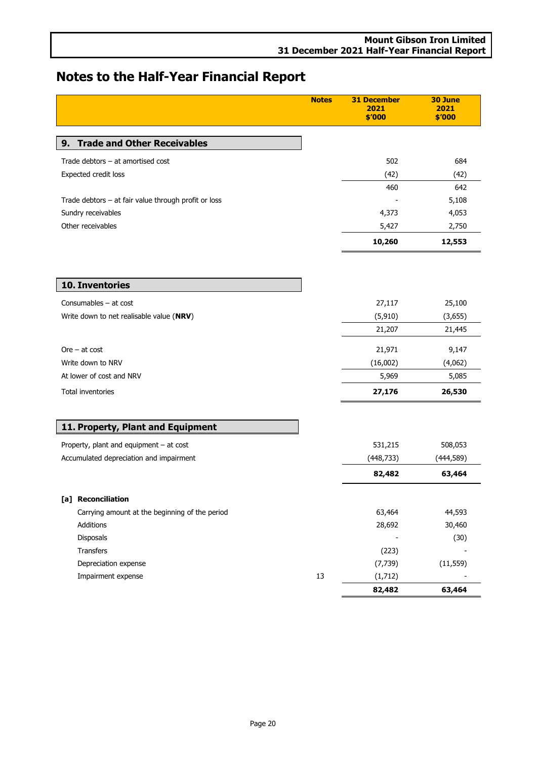<span id="page-21-2"></span><span id="page-21-1"></span><span id="page-21-0"></span>

|                                                      | <b>Notes</b> | <b>31 December</b><br>2021<br>\$′000 | 30 June<br>2021<br>\$'000 |
|------------------------------------------------------|--------------|--------------------------------------|---------------------------|
| <b>Trade and Other Receivables</b><br>9.             |              |                                      |                           |
|                                                      |              |                                      |                           |
| Trade debtors - at amortised cost                    |              | 502                                  | 684                       |
| Expected credit loss                                 |              | (42)                                 | (42)                      |
|                                                      |              | 460                                  | 642                       |
| Trade debtors - at fair value through profit or loss |              |                                      | 5,108                     |
| Sundry receivables                                   |              | 4,373                                | 4,053                     |
| Other receivables                                    |              | 5,427                                | 2,750                     |
|                                                      |              | 10,260                               | 12,553                    |
|                                                      |              |                                      |                           |
| 10. Inventories                                      |              |                                      |                           |
| Consumables - at cost                                |              | 27,117                               | 25,100                    |
| Write down to net realisable value (NRV)             |              | (5, 910)                             | (3,655)                   |
|                                                      |              | 21,207                               | 21,445                    |
| $Ore - at cost$                                      |              | 21,971                               | 9,147                     |
| Write down to NRV                                    |              | (16,002)                             | (4,062)                   |
| At lower of cost and NRV                             |              | 5,969                                | 5,085                     |
| Total inventories                                    |              | 27,176                               | 26,530                    |
| 11. Property, Plant and Equipment                    |              |                                      |                           |
| Property, plant and equipment - at cost              |              | 531,215                              | 508,053                   |
| Accumulated depreciation and impairment              |              | (448, 733)                           | (444,589)                 |
|                                                      |              | 82,482                               | 63,464                    |
| [a] Reconciliation                                   |              |                                      |                           |
| Carrying amount at the beginning of the period       |              | 63,464                               | 44,593                    |
| Additions                                            |              | 28,692                               | 30,460                    |
| Disposals                                            |              |                                      | (30)                      |
| Transfers                                            |              | (223)                                |                           |
| Depreciation expense                                 |              | (7, 739)                             | (11, 559)                 |
| Impairment expense                                   | 13           | (1,712)                              |                           |
|                                                      |              | 82,482                               | 63,464                    |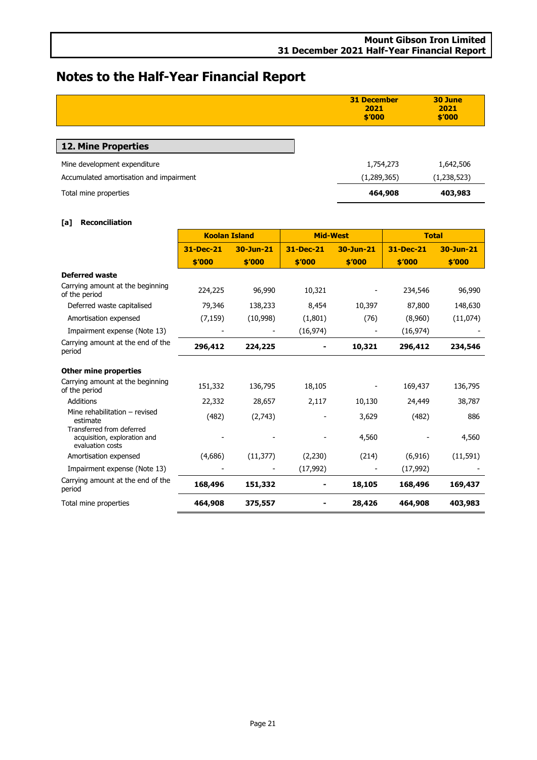<span id="page-22-0"></span>

|                                         | <b>31 December</b><br>2021<br>\$′000 | 30 June<br>2021<br>\$′000 |
|-----------------------------------------|--------------------------------------|---------------------------|
| 12. Mine Properties                     |                                      |                           |
| Mine development expenditure            | 1,754,273                            | 1,642,506                 |
| Accumulated amortisation and impairment | (1,289,365)                          | (1,238,523)               |
| Total mine properties                   | 464,908                              | 403,983                   |

### **[a] Reconciliation**

|                                                                               | <b>Koolan Island</b> |           | <b>Mid-West</b> |           | <b>Total</b> |           |
|-------------------------------------------------------------------------------|----------------------|-----------|-----------------|-----------|--------------|-----------|
|                                                                               | 31-Dec-21            | 30-Jun-21 | 31-Dec-21       | 30-Jun-21 | 31-Dec-21    | 30-Jun-21 |
|                                                                               | \$'000               | \$'000    | \$'000          | \$'000    | \$'000       | \$'000    |
| <b>Deferred waste</b>                                                         |                      |           |                 |           |              |           |
| Carrying amount at the beginning<br>of the period                             | 224,225              | 96,990    | 10,321          |           | 234,546      | 96,990    |
| Deferred waste capitalised                                                    | 79,346               | 138,233   | 8,454           | 10,397    | 87,800       | 148,630   |
| Amortisation expensed                                                         | (7, 159)             | (10,998)  | (1,801)         | (76)      | (8,960)      | (11,074)  |
| Impairment expense (Note 13)                                                  |                      |           | (16, 974)       |           | (16, 974)    |           |
| Carrying amount at the end of the<br>period                                   | 296,412              | 224,225   |                 | 10,321    | 296,412      | 234,546   |
| <b>Other mine properties</b>                                                  |                      |           |                 |           |              |           |
| Carrying amount at the beginning<br>of the period                             | 151,332              | 136,795   | 18,105          |           | 169,437      | 136,795   |
| <b>Additions</b>                                                              | 22,332               | 28,657    | 2,117           | 10,130    | 24,449       | 38,787    |
| Mine rehabilitation - revised<br>estimate                                     | (482)                | (2,743)   |                 | 3,629     | (482)        | 886       |
| Transferred from deferred<br>acquisition, exploration and<br>evaluation costs |                      |           |                 | 4,560     |              | 4,560     |
| Amortisation expensed                                                         | (4,686)              | (11, 377) | (2,230)         | (214)     | (6, 916)     | (11, 591) |
| Impairment expense (Note 13)                                                  |                      |           | (17, 992)       |           | (17, 992)    |           |
| Carrying amount at the end of the<br>period                                   | 168,496              | 151,332   |                 | 18,105    | 168,496      | 169,437   |
| Total mine properties                                                         | 464,908              | 375,557   |                 | 28,426    | 464,908      | 403,983   |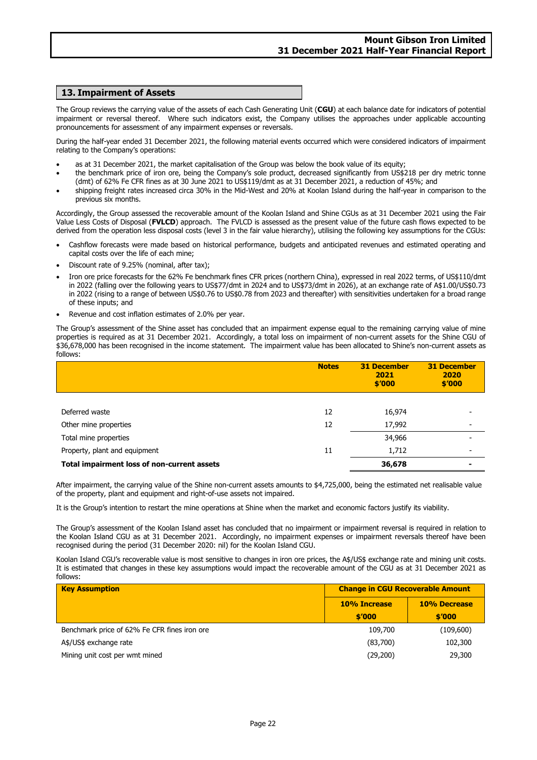### <span id="page-23-0"></span>**13. Impairment of Assets**

The Group reviews the carrying value of the assets of each Cash Generating Unit (**CGU**) at each balance date for indicators of potential impairment or reversal thereof. Where such indicators exist, the Company utilises the approaches under applicable accounting pronouncements for assessment of any impairment expenses or reversals.

During the half-year ended 31 December 2021, the following material events occurred which were considered indicators of impairment relating to the Company's operations:

- as at 31 December 2021, the market capitalisation of the Group was below the book value of its equity;
- the benchmark price of iron ore, being the Company's sole product, decreased significantly from US\$218 per dry metric tonne (dmt) of 62% Fe CFR fines as at 30 June 2021 to US\$119/dmt as at 31 December 2021, a reduction of 45%; and
- shipping freight rates increased circa 30% in the Mid-West and 20% at Koolan Island during the half-year in comparison to the previous six months.

Accordingly, the Group assessed the recoverable amount of the Koolan Island and Shine CGUs as at 31 December 2021 using the Fair Value Less Costs of Disposal (**FVLCD**) approach. The FVLCD is assessed as the present value of the future cash flows expected to be derived from the operation less disposal costs (level 3 in the fair value hierarchy), utilising the following key assumptions for the CGUs:

- Cashflow forecasts were made based on historical performance, budgets and anticipated revenues and estimated operating and capital costs over the life of each mine;
- Discount rate of 9.25% (nominal, after tax);
- Iron ore price forecasts for the 62% Fe benchmark fines CFR prices (northern China), expressed in real 2022 terms, of US\$110/dmt in 2022 (falling over the following years to US\$77/dmt in 2024 and to US\$73/dmt in 2026), at an exchange rate of A\$1.00/US\$0.73 in 2022 (rising to a range of between US\$0.76 to US\$0.78 from 2023 and thereafter) with sensitivities undertaken for a broad range of these inputs; and
- Revenue and cost inflation estimates of 2.0% per year.

The Group's assessment of the Shine asset has concluded that an impairment expense equal to the remaining carrying value of mine properties is required as at 31 December 2021. Accordingly, a total loss on impairment of non-current assets for the Shine CGU of \$36,678,000 has been recognised in the income statement. The impairment value has been allocated to Shine's non-current assets as follows:

|                                             | <b>Notes</b> | <b>31 December</b><br>2021<br>\$′000 | <b>31 December</b><br>2020<br>\$′000 |
|---------------------------------------------|--------------|--------------------------------------|--------------------------------------|
|                                             |              |                                      |                                      |
| Deferred waste                              | 12           | 16,974                               |                                      |
| Other mine properties                       | 12           | 17,992                               |                                      |
| Total mine properties                       |              | 34,966                               |                                      |
| Property, plant and equipment               | 11           | 1,712                                |                                      |
| Total impairment loss of non-current assets |              | 36,678                               |                                      |

After impairment, the carrying value of the Shine non-current assets amounts to \$4,725,000, being the estimated net realisable value of the property, plant and equipment and right-of-use assets not impaired.

It is the Group's intention to restart the mine operations at Shine when the market and economic factors justify its viability.

The Group's assessment of the Koolan Island asset has concluded that no impairment or impairment reversal is required in relation to the Koolan Island CGU as at 31 December 2021. Accordingly, no impairment expenses or impairment reversals thereof have been recognised during the period (31 December 2020: nil) for the Koolan Island CGU.

Koolan Island CGU's recoverable value is most sensitive to changes in iron ore prices, the A\$/US\$ exchange rate and mining unit costs. It is estimated that changes in these key assumptions would impact the recoverable amount of the CGU as at 31 December 2021 as follows:

| <b>Key Assumption</b>                        | <b>Change in CGU Recoverable Amount</b> |                               |
|----------------------------------------------|-----------------------------------------|-------------------------------|
|                                              | 10% Increase<br>\$′000                  | <b>10% Decrease</b><br>\$′000 |
| Benchmark price of 62% Fe CFR fines iron ore | 109,700                                 | (109,600)                     |
| A\$/US\$ exchange rate                       | (83,700)                                | 102,300                       |
| Mining unit cost per wmt mined               | (29, 200)                               | 29,300                        |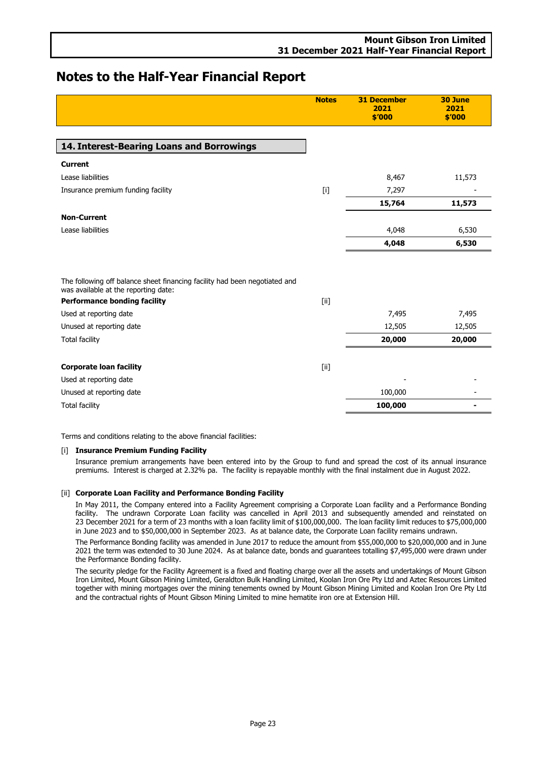<span id="page-24-0"></span>

|                                                                             | <b>Notes</b> | <b>31 December</b><br>2021<br>\$′000 | 30 June<br>2021<br>\$'000 |
|-----------------------------------------------------------------------------|--------------|--------------------------------------|---------------------------|
| 14. Interest-Bearing Loans and Borrowings                                   |              |                                      |                           |
| <b>Current</b>                                                              |              |                                      |                           |
| Lease liabilities                                                           |              | 8,467                                | 11,573                    |
| Insurance premium funding facility                                          |              | 7,297                                |                           |
|                                                                             |              | 15,764                               | 11,573                    |
| <b>Non-Current</b>                                                          |              |                                      |                           |
| Lease liabilities                                                           |              | 4,048                                | 6,530                     |
|                                                                             |              | 4,048                                | 6,530                     |
| The following off balance sheet financing facility had been negotiated and  |              |                                      |                           |
| was available at the reporting date:<br><b>Performance bonding facility</b> | [iii]        |                                      |                           |
| Used at reporting date                                                      |              | 7,495                                | 7,495                     |
| Unused at reporting date                                                    |              | 12,505                               | 12,505                    |
| <b>Total facility</b>                                                       |              | 20,000                               | 20,000                    |
|                                                                             |              |                                      |                           |
| <b>Corporate loan facility</b>                                              | [ii]         |                                      |                           |
| Used at reporting date                                                      |              |                                      |                           |
| Unused at reporting date                                                    |              | 100,000                              |                           |
| <b>Total facility</b>                                                       |              | 100,000                              |                           |

Terms and conditions relating to the above financial facilities:

### [i] **Insurance Premium Funding Facility**

Insurance premium arrangements have been entered into by the Group to fund and spread the cost of its annual insurance premiums. Interest is charged at 2.32% pa. The facility is repayable monthly with the final instalment due in August 2022.

### [ii] **Corporate Loan Facility and Performance Bonding Facility**

In May 2011, the Company entered into a Facility Agreement comprising a Corporate Loan facility and a Performance Bonding facility. The undrawn Corporate Loan facility was cancelled in April 2013 and subsequently amended and reinstated on 23 December 2021 for a term of 23 months with a loan facility limit of \$100,000,000. The loan facility limit reduces to \$75,000,000 in June 2023 and to \$50,000,000 in September 2023. As at balance date, the Corporate Loan facility remains undrawn.

The Performance Bonding facility was amended in June 2017 to reduce the amount from \$55,000,000 to \$20,000,000 and in June 2021 the term was extended to 30 June 2024. As at balance date, bonds and guarantees totalling \$7,495,000 were drawn under the Performance Bonding facility.

The security pledge for the Facility Agreement is a fixed and floating charge over all the assets and undertakings of Mount Gibson Iron Limited, Mount Gibson Mining Limited, Geraldton Bulk Handling Limited, Koolan Iron Ore Pty Ltd and Aztec Resources Limited together with mining mortgages over the mining tenements owned by Mount Gibson Mining Limited and Koolan Iron Ore Pty Ltd and the contractual rights of Mount Gibson Mining Limited to mine hematite iron ore at Extension Hill.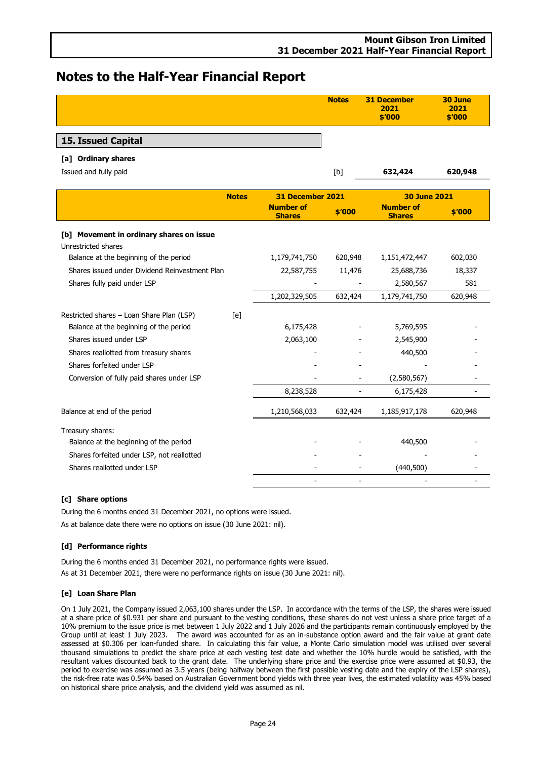- - - -

# **Notes to the Half-Year Financial Report**

<span id="page-25-0"></span>

|                                                                 |              |                                   | <b>Notes</b>             | <b>31 December</b><br>2021<br>\$'000 | 30 June<br>2021<br>\$′000 |
|-----------------------------------------------------------------|--------------|-----------------------------------|--------------------------|--------------------------------------|---------------------------|
| 15. Issued Capital                                              |              |                                   |                          |                                      |                           |
| [a] Ordinary shares                                             |              |                                   |                          |                                      |                           |
| Issued and fully paid                                           |              |                                   | [b]                      | 632,424                              | 620,948                   |
|                                                                 | <b>Notes</b> | 31 December 2021                  |                          | <b>30 June 2021</b>                  |                           |
|                                                                 |              | <b>Number of</b><br><b>Shares</b> | \$'000                   | <b>Number of</b><br><b>Shares</b>    | \$′000                    |
| [b] Movement in ordinary shares on issue<br>Unrestricted shares |              |                                   |                          |                                      |                           |
| Balance at the beginning of the period                          |              | 1,179,741,750                     | 620,948                  | 1,151,472,447                        | 602,030                   |
| Shares issued under Dividend Reinvestment Plan                  |              | 22,587,755                        | 11,476                   | 25,688,736                           | 18,337                    |
| Shares fully paid under LSP                                     |              |                                   |                          | 2,580,567                            | 581                       |
|                                                                 |              | 1,202,329,505                     | 632,424                  | 1,179,741,750                        | 620,948                   |
| Restricted shares - Loan Share Plan (LSP)                       | [e]          |                                   |                          |                                      |                           |
| Balance at the beginning of the period                          |              | 6,175,428                         |                          | 5,769,595                            |                           |
| Shares issued under LSP                                         |              | 2,063,100                         |                          | 2,545,900                            |                           |
| Shares reallotted from treasury shares                          |              |                                   |                          | 440,500                              |                           |
| Shares forfeited under LSP                                      |              |                                   |                          |                                      |                           |
| Conversion of fully paid shares under LSP                       |              |                                   |                          | (2,580,567)                          |                           |
|                                                                 |              | 8,238,528                         | $\overline{\phantom{0}}$ | 6,175,428                            |                           |
| Balance at end of the period                                    |              | 1,210,568,033                     | 632,424                  | 1,185,917,178                        | 620,948                   |
| Treasury shares:                                                |              |                                   |                          |                                      |                           |
| Balance at the beginning of the period                          |              |                                   |                          | 440,500                              |                           |
| Shares forfeited under LSP, not reallotted                      |              |                                   |                          |                                      |                           |
| Shares reallotted under LSP                                     |              |                                   |                          | (440,500)                            |                           |

### **[c] Share options**

During the 6 months ended 31 December 2021, no options were issued. As at balance date there were no options on issue (30 June 2021: nil).

### **[d] Performance rights**

During the 6 months ended 31 December 2021, no performance rights were issued.

As at 31 December 2021, there were no performance rights on issue (30 June 2021: nil).

### **[e] Loan Share Plan**

On 1 July 2021, the Company issued 2,063,100 shares under the LSP. In accordance with the terms of the LSP, the shares were issued at a share price of \$0.931 per share and pursuant to the vesting conditions, these shares do not vest unless a share price target of a 10% premium to the issue price is met between 1 July 2022 and 1 July 2026 and the participants remain continuously employed by the Group until at least 1 July 2023. The award was accounted for as an in-substance option award and the fair value at grant date assessed at \$0.306 per loan-funded share. In calculating this fair value, a Monte Carlo simulation model was utilised over several thousand simulations to predict the share price at each vesting test date and whether the 10% hurdle would be satisfied, with the resultant values discounted back to the grant date. The underlying share price and the exercise price were assumed at \$0.93, the period to exercise was assumed as 3.5 years (being halfway between the first possible vesting date and the expiry of the LSP shares), the risk-free rate was 0.54% based on Australian Government bond yields with three year lives, the estimated volatility was 45% based on historical share price analysis, and the dividend yield was assumed as nil.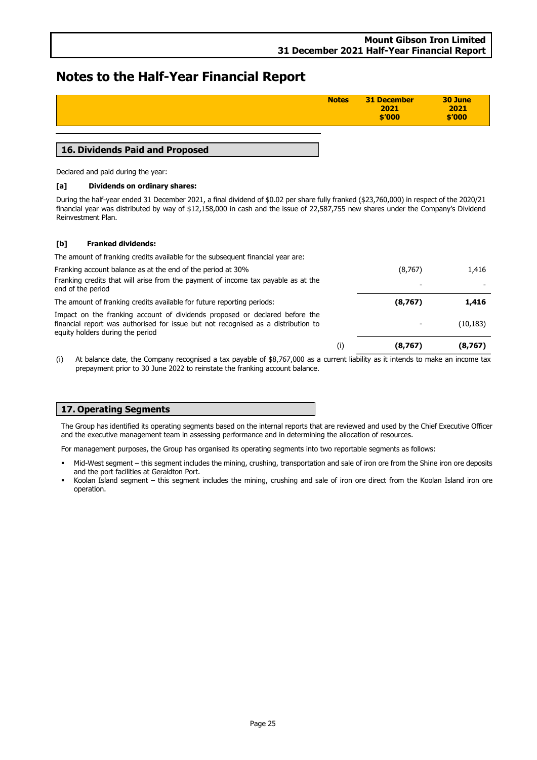| <b>Notes</b> | 31 December<br>2021<br>\$′000 | 30 June<br>2021<br>\$′000 |
|--------------|-------------------------------|---------------------------|
|              |                               |                           |

### **16. Dividends Paid and Proposed**

Declared and paid during the year:

### **[a] Dividends on ordinary shares:**

During the half-year ended 31 December 2021, a final dividend of \$0.02 per share fully franked (\$23,760,000) in respect of the 2020/21 financial year was distributed by way of \$12,158,000 in cash and the issue of 22,587,755 new shares under the Company's Dividend Reinvestment Plan.

### **[b] Franked dividends:**

The amount of franking credits available for the subsequent financial year are:

Franking account balance as at the end of the period at 30% (8,767) (8,767) Franking credits that will arise from the payment of income tax payable as at the end of the period - - The amount of franking credits available for future reporting periods: **(8,767) 1,416** Impact on the franking account of dividends proposed or declared before the financial report was authorised for issue but not recognised as a distribution to equity holders during the period  $(10, 183)$ (i) **(8,767) (8,767)**

(i) At balance date, the Company recognised a tax payable of \$8,767,000 as a current liability as it intends to make an income tax prepayment prior to 30 June 2022 to reinstate the franking account balance.

### **17. Operating Segments**

The Group has identified its operating segments based on the internal reports that are reviewed and used by the Chief Executive Officer and the executive management team in assessing performance and in determining the allocation of resources.

For management purposes, the Group has organised its operating segments into two reportable segments as follows:

- Mid-West segment this segment includes the mining, crushing, transportation and sale of iron ore from the Shine iron ore deposits and the port facilities at Geraldton Port.
- Koolan Island segment this segment includes the mining, crushing and sale of iron ore direct from the Koolan Island iron ore operation.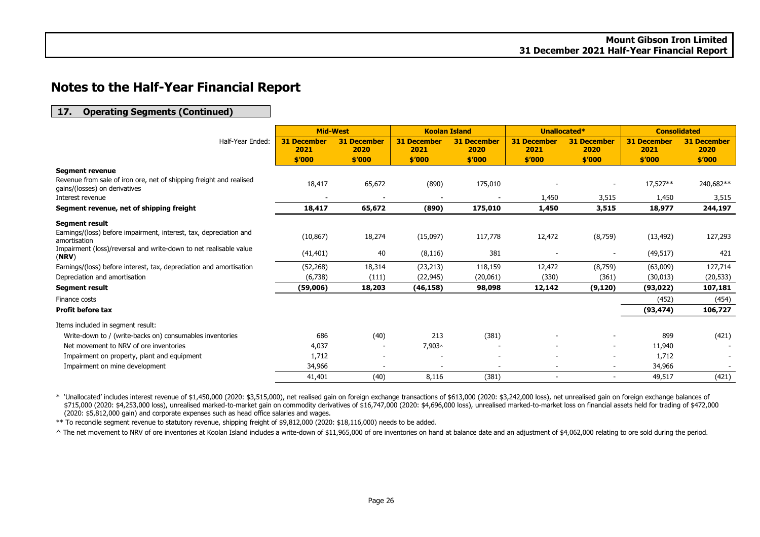### **17. Operating Segments (Continued)**

|                                                                                                      |                            | <b>Mid-West</b><br><b>Koolan Island</b> |                            |                            | Unallocated*               | <b>Consolidated</b>        |                            |                            |
|------------------------------------------------------------------------------------------------------|----------------------------|-----------------------------------------|----------------------------|----------------------------|----------------------------|----------------------------|----------------------------|----------------------------|
| Half-Year Ended:                                                                                     | <b>31 December</b><br>2021 | <b>31 December</b><br>2020              | <b>31 December</b><br>2021 | <b>31 December</b><br>2020 | <b>31 December</b><br>2021 | <b>31 December</b><br>2020 | <b>31 December</b><br>2021 | <b>31 December</b><br>2020 |
|                                                                                                      | \$'000                     | \$'000                                  | \$′000                     | \$′000                     | \$'000                     | \$′000                     | \$′000                     | \$′000                     |
| <b>Segment revenue</b>                                                                               |                            |                                         |                            |                            |                            |                            |                            |                            |
| Revenue from sale of iron ore, net of shipping freight and realised<br>gains/(losses) on derivatives | 18,417                     | 65,672                                  | (890)                      | 175,010                    |                            |                            | 17,527**                   | 240,682**                  |
| Interest revenue                                                                                     |                            |                                         |                            |                            | 1,450                      | 3,515                      | 1,450                      | 3,515                      |
| Segment revenue, net of shipping freight                                                             | 18,417                     | 65,672                                  | (890)                      | 175,010                    | 1,450                      | 3,515                      | 18,977                     | 244,197                    |
| <b>Segment result</b>                                                                                |                            |                                         |                            |                            |                            |                            |                            |                            |
| Earnings/(loss) before impairment, interest, tax, depreciation and<br>amortisation                   | (10, 867)                  | 18,274                                  | (15,097)                   | 117,778                    | 12,472                     | (8,759)                    | (13, 492)                  | 127,293                    |
| Impairment (loss)/reversal and write-down to net realisable value<br>(NRV)                           | (41, 401)                  | 40                                      | (8, 116)                   | 381                        |                            | $\overline{\phantom{a}}$   | (49, 517)                  | 421                        |
| Earnings/(loss) before interest, tax, depreciation and amortisation                                  | (52, 268)                  | 18,314                                  | (23, 213)                  | 118,159                    | 12,472                     | (8,759)                    | (63,009)                   | 127,714                    |
| Depreciation and amortisation                                                                        | (6,738)                    | (111)                                   | (22, 945)                  | (20,061)                   | (330)                      | (361)                      | (30, 013)                  | (20, 533)                  |
| <b>Segment result</b>                                                                                | (59,006)                   | 18,203                                  | (46, 158)                  | 98,098                     | 12,142                     | (9, 120)                   | (93, 022)                  | 107,181                    |
| Finance costs                                                                                        |                            |                                         |                            |                            |                            |                            | (452)                      | (454)                      |
| <b>Profit before tax</b>                                                                             |                            |                                         |                            |                            |                            |                            | (93, 474)                  | 106,727                    |
| Items included in segment result:                                                                    |                            |                                         |                            |                            |                            |                            |                            |                            |
| Write-down to / (write-backs on) consumables inventories                                             | 686                        | (40)                                    | 213                        | (381)                      |                            |                            | 899                        | (421)                      |
| Net movement to NRV of ore inventories                                                               | 4,037                      | $\overline{\phantom{a}}$                | 7,903^                     |                            |                            | $\overline{\phantom{a}}$   | 11,940                     |                            |
| Impairment on property, plant and equipment                                                          | 1,712                      |                                         |                            |                            |                            |                            | 1,712                      | $\sim$                     |
| Impairment on mine development                                                                       | 34,966                     |                                         |                            |                            | $\overline{\phantom{0}}$   | $\overline{\phantom{a}}$   | 34,966                     | $\sim$                     |
|                                                                                                      | 41,401                     | (40)                                    | 8,116                      | (381)                      | $\overline{\phantom{0}}$   | $\overline{\phantom{a}}$   | 49,517                     | (421)                      |

\* 'Unallocated' includes interest revenue of \$1,450,000 (2020: \$3,515,000), net realised gain on foreign exchange transactions of \$613,000 (2020: \$3,242,000 loss), net unrealised gain on foreign exchange balances of \$715,000 (2020: \$4,253,000 loss), unrealised marked-to-market gain on commodity derivatives of \$16,747,000 (2020: \$4,696,000 loss), unrealised marked-to-market loss on financial assets held for trading of \$472,000 (2020: \$5,812,000 gain) and corporate expenses such as head office salaries and wages.

\*\* To reconcile segment revenue to statutory revenue, shipping freight of \$9,812,000 (2020: \$18,116,000) needs to be added.

^ The net movement to NRV of ore inventories at Koolan Island includes a write-down of \$11,965,000 of ore inventories on hand at balance date and an adjustment of \$4,062,000 relating to ore sold during the period.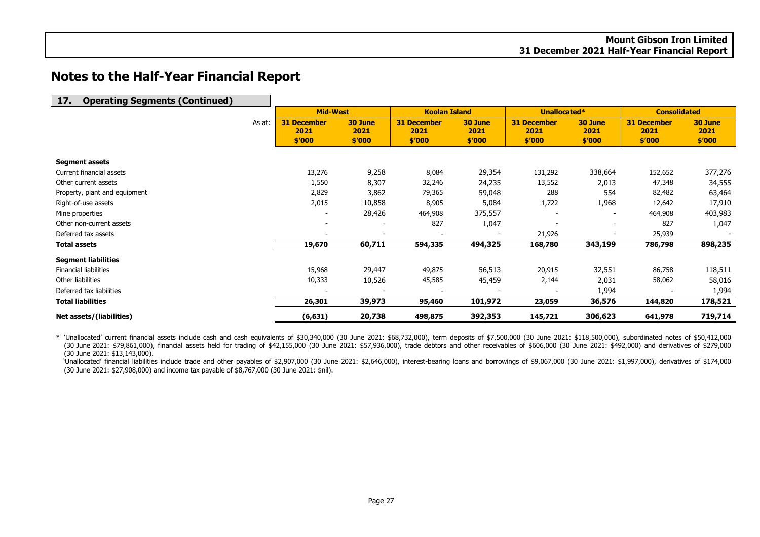| <b>Operating Segments (Continued)</b><br>17. |        |                            |                 |                            |                 |                            |                 |                            |                 |
|----------------------------------------------|--------|----------------------------|-----------------|----------------------------|-----------------|----------------------------|-----------------|----------------------------|-----------------|
|                                              |        | <b>Mid-West</b>            |                 | <b>Koolan Island</b>       |                 | Unallocated*               |                 | <b>Consolidated</b>        |                 |
|                                              | As at: | <b>31 December</b><br>2021 | 30 June<br>2021 | <b>31 December</b><br>2021 | 30 June<br>2021 | <b>31 December</b><br>2021 | 30 June<br>2021 | <b>31 December</b><br>2021 | 30 June<br>2021 |
|                                              |        | \$′000                     | \$′000          | \$'000                     | \$′000          | \$′000                     | \$′000          | \$′000                     | \$′000          |
| <b>Segment assets</b>                        |        |                            |                 |                            |                 |                            |                 |                            |                 |
| Current financial assets                     |        | 13,276                     | 9,258           | 8,084                      | 29,354          | 131,292                    | 338,664         | 152,652                    | 377,276         |
| Other current assets                         |        | 1,550                      | 8,307           | 32,246                     | 24,235          | 13,552                     | 2,013           | 47,348                     | 34,555          |
| Property, plant and equipment                |        | 2,829                      | 3,862           | 79,365                     | 59,048          | 288                        | 554             | 82,482                     | 63,464          |
| Right-of-use assets                          |        | 2,015                      | 10,858          | 8,905                      | 5,084           | 1,722                      | 1,968           | 12,642                     | 17,910          |
| Mine properties                              |        | $\overline{a}$             | 28,426          | 464,908                    | 375,557         |                            |                 | 464,908                    | 403,983         |
| Other non-current assets                     |        | $\overline{\phantom{a}}$   |                 | 827                        | 1,047           |                            |                 | 827                        | 1,047           |
| Deferred tax assets                          |        | $\overline{\phantom{a}}$   |                 |                            |                 | 21,926                     |                 | 25,939                     |                 |
| <b>Total assets</b>                          |        | 19,670                     | 60,711          | 594,335                    | 494,325         | 168,780                    | 343,199         | 786,798                    | 898,235         |
| <b>Segment liabilities</b>                   |        |                            |                 |                            |                 |                            |                 |                            |                 |
| <b>Financial liabilities</b>                 |        | 15,968                     | 29,447          | 49,875                     | 56,513          | 20,915                     | 32,551          | 86,758                     | 118,511         |
| Other liabilities                            |        | 10,333                     | 10,526          | 45,585                     | 45,459          | 2,144                      | 2,031           | 58,062                     | 58,016          |
| Deferred tax liabilities                     |        |                            |                 |                            |                 |                            | 1,994           |                            | 1,994           |
| <b>Total liabilities</b>                     |        | 26,301                     | 39,973          | 95,460                     | 101,972         | 23,059                     | 36,576          | 144,820                    | 178,521         |
| Net assets/(liabilities)                     |        | (6, 631)                   | 20,738          | 498,875                    | 392,353         | 145,721                    | 306,623         | 641,978                    | 719,714         |

\* 'Unallocated' current financial assets include cash and cash equivalents of \$30,340,000 (30 June 2021: \$68,732,000), term deposits of \$7,500,000 (30 June 2021: \$118,500,000), subordinated notes of \$50,412,000 (30 June 2021: \$79,861,000), financial assets held for trading of \$42,155,000 (30 June 2021: \$57,936,000), trade debtors and other receivables of \$606,000 (30 June 2021: \$492,000) and derivatives of \$279,000 (30 June 2021: \$13,143,000).

'Unallocated' financial liabilities include trade and other payables of \$2,907,000 (30 June 2021: \$2,646,000), interest-bearing loans and borrowings of \$9,067,000 (30 June 2021: \$1,997,000), derivatives of \$174,000 (30 June 2021: \$27,908,000) and income tax payable of \$8,767,000 (30 June 2021: \$nil).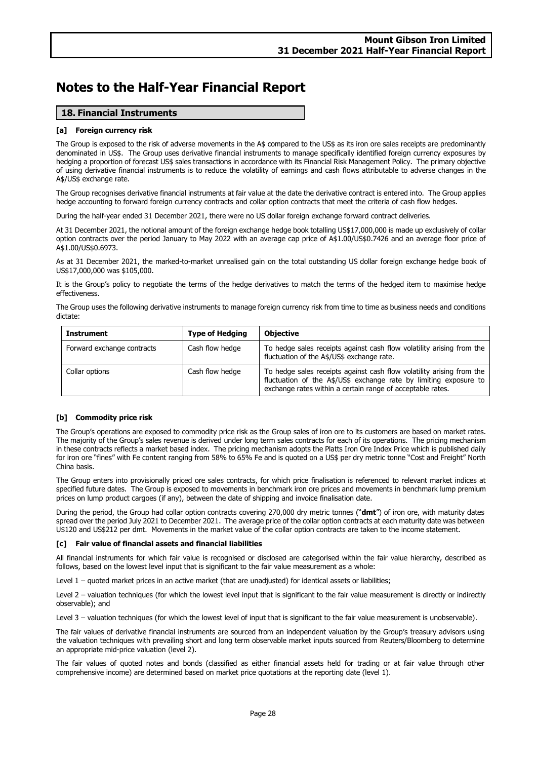### **18. Financial Instruments**

### **[a] Foreign currency risk**

The Group is exposed to the risk of adverse movements in the A\$ compared to the US\$ as its iron ore sales receipts are predominantly denominated in US\$. The Group uses derivative financial instruments to manage specifically identified foreign currency exposures by hedging a proportion of forecast US\$ sales transactions in accordance with its Financial Risk Management Policy. The primary objective of using derivative financial instruments is to reduce the volatility of earnings and cash flows attributable to adverse changes in the A\$/US\$ exchange rate.

The Group recognises derivative financial instruments at fair value at the date the derivative contract is entered into. The Group applies hedge accounting to forward foreign currency contracts and collar option contracts that meet the criteria of cash flow hedges.

During the half-year ended 31 December 2021, there were no US dollar foreign exchange forward contract deliveries.

At 31 December 2021, the notional amount of the foreign exchange hedge book totalling US\$17,000,000 is made up exclusively of collar option contracts over the period January to May 2022 with an average cap price of A\$1.00/US\$0.7426 and an average floor price of A\$1.00/US\$0.6973.

As at 31 December 2021, the marked-to-market unrealised gain on the total outstanding US dollar foreign exchange hedge book of US\$17,000,000 was \$105,000.

It is the Group's policy to negotiate the terms of the hedge derivatives to match the terms of the hedged item to maximise hedge effectiveness.

The Group uses the following derivative instruments to manage foreign currency risk from time to time as business needs and conditions dictate:

| Instrument                 | <b>Type of Hedging</b> | <b>Objective</b>                                                                                                                                                                                         |
|----------------------------|------------------------|----------------------------------------------------------------------------------------------------------------------------------------------------------------------------------------------------------|
| Forward exchange contracts | Cash flow hedge        | To hedge sales receipts against cash flow volatility arising from the<br>fluctuation of the A\$/US\$ exchange rate.                                                                                      |
| Collar options             | Cash flow hedge        | To hedge sales receipts against cash flow volatility arising from the<br>fluctuation of the A\$/US\$ exchange rate by limiting exposure to<br>exchange rates within a certain range of acceptable rates. |

### **[b] Commodity price risk**

The Group's operations are exposed to commodity price risk as the Group sales of iron ore to its customers are based on market rates. The majority of the Group's sales revenue is derived under long term sales contracts for each of its operations. The pricing mechanism in these contracts reflects a market based index. The pricing mechanism adopts the Platts Iron Ore Index Price which is published daily for iron ore "fines" with Fe content ranging from 58% to 65% Fe and is quoted on a US\$ per dry metric tonne "Cost and Freight" North China basis.

The Group enters into provisionally priced ore sales contracts, for which price finalisation is referenced to relevant market indices at specified future dates. The Group is exposed to movements in benchmark iron ore prices and movements in benchmark lump premium prices on lump product cargoes (if any), between the date of shipping and invoice finalisation date.

During the period, the Group had collar option contracts covering 270,000 dry metric tonnes ("**dmt**") of iron ore, with maturity dates spread over the period July 2021 to December 2021. The average price of the collar option contracts at each maturity date was between U\$120 and US\$212 per dmt. Movements in the market value of the collar option contracts are taken to the income statement.

### **[c] Fair value of financial assets and financial liabilities**

All financial instruments for which fair value is recognised or disclosed are categorised within the fair value hierarchy, described as follows, based on the lowest level input that is significant to the fair value measurement as a whole:

Level 1 – quoted market prices in an active market (that are unadjusted) for identical assets or liabilities;

Level 2 – valuation techniques (for which the lowest level input that is significant to the fair value measurement is directly or indirectly observable); and

Level 3 – valuation techniques (for which the lowest level of input that is significant to the fair value measurement is unobservable).

The fair values of derivative financial instruments are sourced from an independent valuation by the Group's treasury advisors using the valuation techniques with prevailing short and long term observable market inputs sourced from Reuters/Bloomberg to determine an appropriate mid-price valuation (level 2).

The fair values of quoted notes and bonds (classified as either financial assets held for trading or at fair value through other comprehensive income) are determined based on market price quotations at the reporting date (level 1).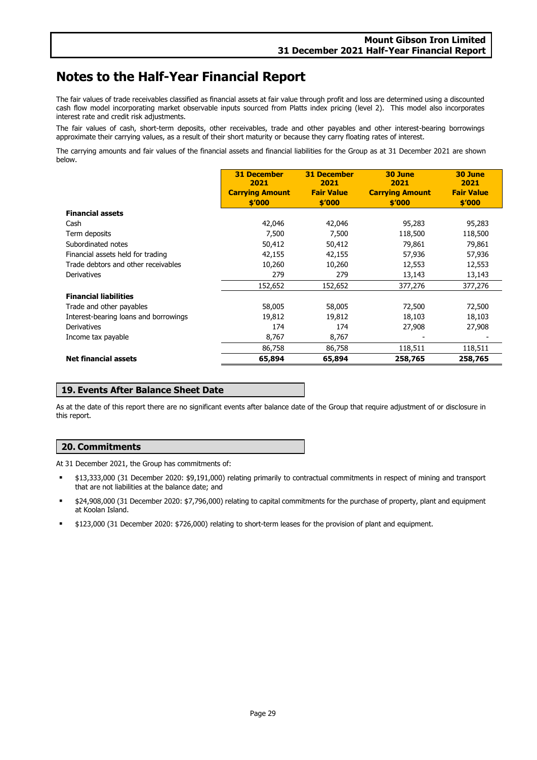The fair values of trade receivables classified as financial assets at fair value through profit and loss are determined using a discounted cash flow model incorporating market observable inputs sourced from Platts index pricing (level 2). This model also incorporates interest rate and credit risk adjustments.

The fair values of cash, short-term deposits, other receivables, trade and other payables and other interest-bearing borrowings approximate their carrying values, as a result of their short maturity or because they carry floating rates of interest.

The carrying amounts and fair values of the financial assets and financial liabilities for the Group as at 31 December 2021 are shown below.

|                                       | <b>31 December</b><br>2021 | <b>31 December</b><br>2021 | 30 June<br>2021        | 30 June<br>2021   |
|---------------------------------------|----------------------------|----------------------------|------------------------|-------------------|
|                                       | <b>Carrying Amount</b>     | <b>Fair Value</b>          | <b>Carrying Amount</b> | <b>Fair Value</b> |
|                                       | \$′000                     | \$'000                     | \$′000                 | \$′000            |
| <b>Financial assets</b>               |                            |                            |                        |                   |
| Cash                                  | 42,046                     | 42,046                     | 95,283                 | 95,283            |
| Term deposits                         | 7,500                      | 7,500                      | 118,500                | 118,500           |
| Subordinated notes                    | 50,412                     | 50,412                     | 79,861                 | 79,861            |
| Financial assets held for trading     | 42,155                     | 42,155                     | 57,936                 | 57,936            |
| Trade debtors and other receivables   | 10,260                     | 10,260                     | 12,553                 | 12,553            |
| Derivatives                           | 279                        | 279                        | 13,143                 | 13,143            |
|                                       | 152,652                    | 152,652                    | 377,276                | 377,276           |
| <b>Financial liabilities</b>          |                            |                            |                        |                   |
| Trade and other payables              | 58,005                     | 58,005                     | 72,500                 | 72,500            |
| Interest-bearing loans and borrowings | 19,812                     | 19,812                     | 18,103                 | 18,103            |
| Derivatives                           | 174                        | 174                        | 27,908                 | 27,908            |
| Income tax payable                    | 8,767                      | 8,767                      |                        |                   |
|                                       | 86,758                     | 86,758                     | 118,511                | 118,511           |
| <b>Net financial assets</b>           | 65,894                     | 65,894                     | 258,765                | 258,765           |

### **19. Events After Balance Sheet Date**

As at the date of this report there are no significant events after balance date of the Group that require adjustment of or disclosure in this report.

### **20. Commitments**

At 31 December 2021, the Group has commitments of:

- \$13,333,000 (31 December 2020: \$9,191,000) relating primarily to contractual commitments in respect of mining and transport that are not liabilities at the balance date; and
- \$24,908,000 (31 December 2020: \$7,796,000) relating to capital commitments for the purchase of property, plant and equipment at Koolan Island.
- \$123,000 (31 December 2020: \$726,000) relating to short-term leases for the provision of plant and equipment.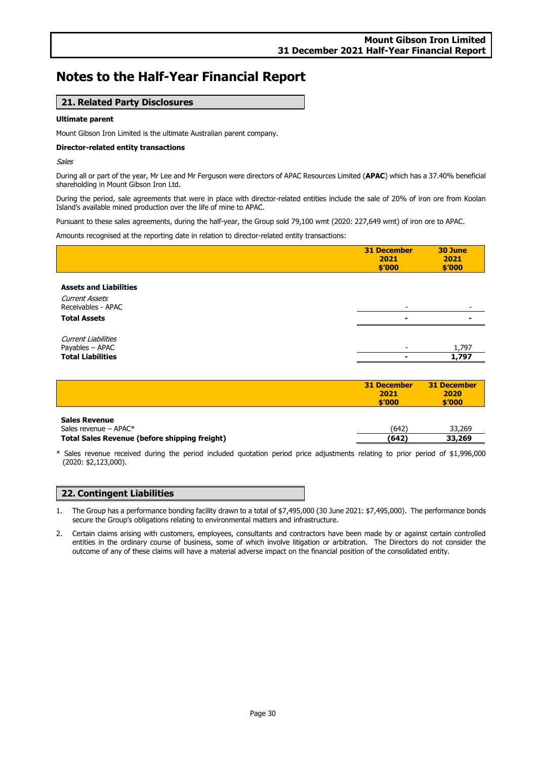### **21. Related Party Disclosures**

### **Ultimate parent**

Mount Gibson Iron Limited is the ultimate Australian parent company.

### **Director-related entity transactions**

Sales

During all or part of the year, Mr Lee and Mr Ferguson were directors of APAC Resources Limited (**APAC**) which has a 37.40% beneficial shareholding in Mount Gibson Iron Ltd.

During the period, sale agreements that were in place with director-related entities include the sale of 20% of iron ore from Koolan Island's available mined production over the life of mine to APAC.

Pursuant to these sales agreements, during the half-year, the Group sold 79,100 wmt (2020: 227,649 wmt) of iron ore to APAC.

Amounts recognised at the reporting date in relation to director-related entity transactions:

|                                                                              | <b>31 December</b><br>2021<br>\$′000 | 30 June<br>2021<br>\$′000 |
|------------------------------------------------------------------------------|--------------------------------------|---------------------------|
| <b>Assets and Liabilities</b><br><b>Current Assets</b><br>Receivables - APAC | -                                    |                           |
| <b>Total Assets</b>                                                          |                                      |                           |
| <b>Current Liabilities</b><br>Payables - APAC<br><b>Total Liabilities</b>    |                                      | 1,797<br>1,797            |

|                      | 31 December<br>2021<br>\$'000 | 31 December<br>2020<br>\$'000 |
|----------------------|-------------------------------|-------------------------------|
| <b>Sales Revenue</b> |                               |                               |

| Sales revenue – $APAC*$                       | 1642 | 33.269 |
|-----------------------------------------------|------|--------|
| Total Sales Revenue (before shipping freight) | (642 | 33,269 |

\* Sales revenue received during the period included quotation period price adjustments relating to prior period of \$1,996,000 (2020: \$2,123,000).

### **22. Contingent Liabilities**

1. The Group has a performance bonding facility drawn to a total of \$7,495,000 (30 June 2021: \$7,495,000). The performance bonds secure the Group's obligations relating to environmental matters and infrastructure.

2. Certain claims arising with customers, employees, consultants and contractors have been made by or against certain controlled entities in the ordinary course of business, some of which involve litigation or arbitration. The Directors do not consider the outcome of any of these claims will have a material adverse impact on the financial position of the consolidated entity.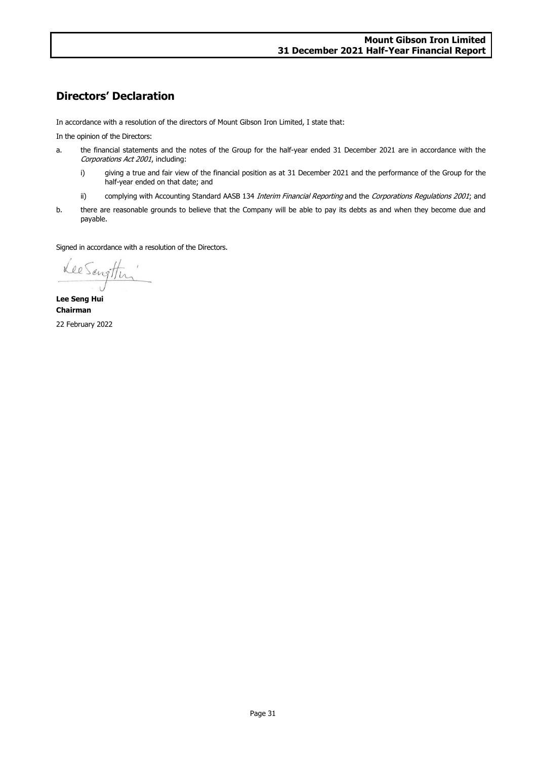# **Directors' Declaration**

In accordance with a resolution of the directors of Mount Gibson Iron Limited, I state that:

In the opinion of the Directors:

- a. the financial statements and the notes of the Group for the half-year ended 31 December 2021 are in accordance with the Corporations Act 2001, including:
	- i) giving a true and fair view of the financial position as at 31 December 2021 and the performance of the Group for the half-year ended on that date; and
	- ii) complying with Accounting Standard AASB 134 Interim Financial Reporting and the Corporations Regulations 2001; and
- b. there are reasonable grounds to believe that the Company will be able to pay its debts as and when they become due and payable.

Signed in accordance with a resolution of the Directors.

Lee Sengthen

**Lee Seng Hui Chairman** 22 February 2022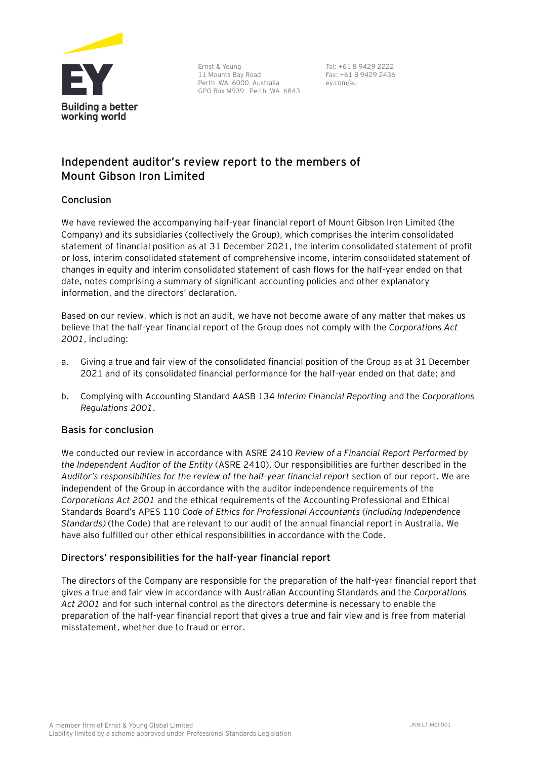

Ernst & Young 11 Mounts Bay Road Perth WA 6000 Australia GPO Box M939 Perth WA 6843

Tel: +61 8 9429 2222 Fax: +61 8 9429 2436 ey.com/au

# **Independent auditor's review report to the members of Mount Gibson Iron Limited**

## **Conclusion**

We have reviewed the accompanying half-year financial report of Mount Gibson Iron Limited (the Company) and its subsidiaries (collectively the Group), which comprises the interim consolidated statement of financial position as at 31 December 2021, the interim consolidated statement of profit or loss, interim consolidated statement of comprehensive income, interim consolidated statement of changes in equity and interim consolidated statement of cash flows for the half-year ended on that date, notes comprising a summary of significant accounting policies and other explanatory information, and the directors' declaration.

Based on our review, which is not an audit, we have not become aware of any matter that makes us believe that the half-year financial report of the Group does not comply with the *Corporations Act 2001*, including:

- a. Giving a true and fair view of the consolidated financial position of the Group as at 31 December 2021 and of its consolidated financial performance for the half-year ended on that date; and
- b. Complying with Accounting Standard AASB 134 *Interim Financial Reporting* and the *Corporations Regulations 2001*.

## **Basis for conclusion**

We conducted our review in accordance with ASRE 2410 *Review of a Financial Report Performed by the Independent Auditor of the Entity* (ASRE 2410). Our responsibilities are further described in the *Auditor's responsibilities for the review of the half-year financial report* section of our report. We are independent of the Group in accordance with the auditor independence requirements of the *Corporations Act 2001* and the ethical requirements of the Accounting Professional and Ethical Standards Board's APES 110 *Code of Ethics for Professional Accountants* (*including Independence Standards)* (the Code) that are relevant to our audit of the annual financial report in Australia. We have also fulfilled our other ethical responsibilities in accordance with the Code.

## **Directors' responsibilities for the half-year financial report**

The directors of the Company are responsible for the preparation of the half-year financial report that gives a true and fair view in accordance with Australian Accounting Standards and the *Corporations Act 2001* and for such internal control as the directors determine is necessary to enable the preparation of the half-year financial report that gives a true and fair view and is free from material misstatement, whether due to fraud or error.